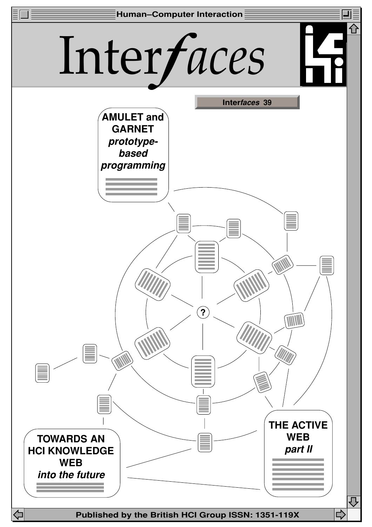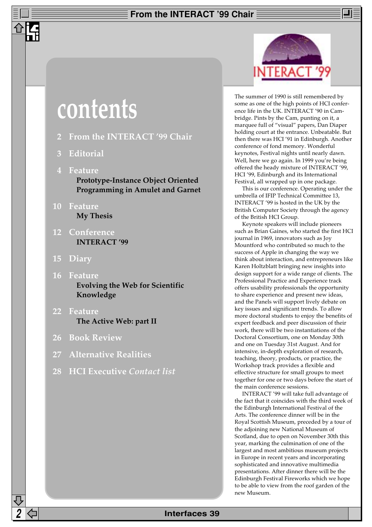## **From the INTERACT '99 Chair**

# **contents**

- **2 From the INTERACT '99 Chair**
- **3 Editorial**
- **4 Feature Prototype-Instance Object Oriented Programming in Amulet and Garnet**
- **10 Feature My Thesis**
- **12 Conference INTERACT '99**
- **15 Diary**
- **16 Feature Evolving the Web for Scientific Knowledge**
- **22 Feature The Active Web: part II**
- **26 Book Review**
- **27 Alternative Realities**
- **28 HCI Executive** *Contact list*



The summer of 1990 is still remembered by some as one of the high points of HCI conference life in the UK. INTERACT '90 in Cambridge. Pints by the Cam, punting on it, a marquee full of "visual" papers, Dan Diaper holding court at the entrance. Unbeatable. But then there was HCI '91 in Edinburgh. Another conference of fond memory. Wonderful keynotes, Festival nights until nearly dawn. Well, here we go again. In 1999 you're being offered the heady mixture of INTERACT '99, HCI '99, Edinburgh and its International Festival, all wrapped up in one package.

This is our conference. Operating under the umbrella of IFIP Technical Committee 13, INTERACT '99 is hosted in the UK by the British Computer Society through the agency of the British HCI Group.

Keynote speakers will include pioneers such as Brian Gaines, who started the first HCI journal in 1969, innovators such as Joy Mountford who contributed so much to the success of Apple in changing the way we think about interaction, and entrepreneurs like Karen Holtzblatt bringing new insights into design support for a wide range of clients. The Professional Practice and Experience track offers usability professionals the opportunity to share experience and present new ideas, and the Panels will support lively debate on key issues and significant trends. To allow more doctoral students to enjoy the benefits of expert feedback and peer discussion of their work, there will be two instantiations of the Doctoral Consortium, one on Monday 30th and one on Tuesday 31st August. And for intensive, in-depth exploration of research, teaching, theory, products, or practice, the Workshop track provides a flexible and effective structure for small groups to meet together for one or two days before the start of the main conference sessions.

INTERACT '99 will take full advantage of the fact that it coincides with the third week of the Edinburgh International Festival of the Arts. The conference dinner will be in the Royal Scottish Museum, preceded by a tour of the adjoining new National Museum of Scotland, due to open on November 30th this year, marking the culmination of one of the largest and most ambitious museum projects in Europe in recent years and incorporating sophisticated and innovative multimedia presentations. After dinner there will be the Edinburgh Festival Fireworks which we hope to be able to view from the roof garden of the new Museum.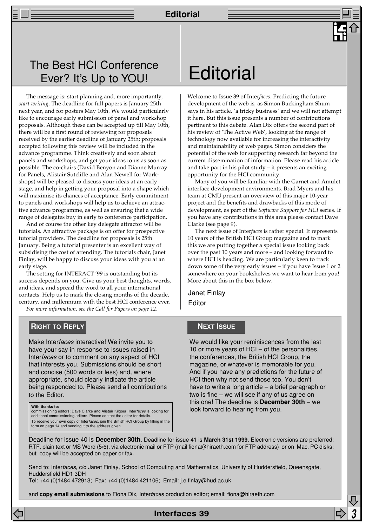## The Best HCI Conference Ever? It's Up to YOU!

The message is: start planning and, more importantly, *start writing*. The deadline for full papers is January 25th next year, and for posters May 10th. We would particularly like to encourage early submission of panel and workshop proposals. Although these can be accepted up till May 10th, there will be a first round of reviewing for proposals received by the earlier deadline of January 25th; proposals accepted following this review will be included in the advance programme. Think creatively and soon about panels and workshops, and get your ideas to us as soon as possible. The co-chairs (David Benyon and Dianne Murray for Panels, Alistair Sutcliffe and Alan Newell for Workshops) will be pleased to discuss your ideas at an early stage, and help in getting your proposal into a shape which will maximise its chances of acceptance. Early commitment to panels and workshops will help us to achieve an attractive advance programme, as well as ensuring that a wide range of delegates buy in early to conference participation.

And of course the other key delegate attractor will be tutorials. An attractive package is on offer for prospective tutorial providers. The deadline for proposals is 25th January. Being a tutorial presenter is an excellent way of subsidising the cost of attending. The tutorials chair, Janet Finlay, will be happy to discuss your ideas with you at an early stage.

The setting for INTERACT '99 is outstanding but its success depends on you. Give us your best thoughts, words, and ideas, and spread the word to all your international contacts. Help us to mark the closing months of the decade, century, and millennium with the best HCI conference ever. *For more information, see the Call for Papers on page 12*.

**RIGHT TO REPLY**

Make Interfaces interactive! We invite you to have your say in response to issues raised in Interfaces or to comment on any aspect of HCI that interests you. Submissions should be short and concise (500 words or less) and, where appropriate, should clearly indicate the article being responded to. Please send all contributions to the Editor.

#### **With thanks to:**

commissioning editors: Dave Clarke and Alistair Kilgour. Interfaces is looking for additional commissioning editors. Please contact the editor for details. To receive your own copy of Interfaces, join the British HCI Group by filling in the form on page 14 and sending it to the address given.

## **Editorial**

Welcome to Issue 39 of Inter*faces*. Predicting the future development of the web is, as Simon Buckingham Shum says in his article, 'a tricky business' and we will not attempt it here. But this issue presents a number of contributions pertinent to this debate. Alan Dix offers the second part of his review of 'The Active Web', looking at the range of technology now available for increasing the interactivity and maintainability of web pages. Simon considers the potential of the web for supporting research far beyond the current dissemination of information. Please read his article and take part in his pilot study – it presents an exciting opportunity for the HCI community.

Many of you will be familiar with the Garnet and Amulet interface development environments. Brad Myers and his team at CMU present an overview of this major 10-year project and the benefits and drawbacks of this mode of development, as part of the *Software Support for HCI* series. If you have any contributions in this area please contact Dave Clarke (see page 9).

The next issue of Inter*faces* is rather special. It represents 10 years of the British HCI Group magazine and to mark this we are putting together a special issue looking back over the past 10 years and more – and looking forward to where HCI is heading. We are particularly keen to track down some of the very early issues – if you have Issue 1 or 2 somewhere on your bookshelves we want to hear from you! More about this in the box below.

Janet Finlay Editor

## **NEXT ISSUE**

We would like your reminiscences from the last 10 or more years of HCI – of the personalities. the conferences, the British HCI Group, the magazine, or whatever is memorable for you. And if you have any predictions for the future of HCI then why not send those too. You don't have to write a long article – a brief paragraph or two is fine – we will see if any of us agree on this one! The deadline is **December 30th** – we look forward to hearing from you.

Deadline for issue 40 is **December 30th**. Deadline for issue 41 is **March 31st 1999**. Electronic versions are preferred: RTF, plain text or MS Word (5/6), via electronic mail or FTP (mail fiona@hiraeth.com for FTP address) or on Mac, PC disks; but copy will be accepted on paper or fax.

Send to: Interfaces, c/o Janet Finlay, School of Computing and Mathematics, University of Huddersfield, Queensgate, Huddersfield HD1 3DH

**Interfaces 39 3**

Tel: +44 (0)1484 472913; Fax: +44 (0)1484 421106; Email: j.e.finlay@hud.ac.uk

and **copy email submissions** to Fiona Dix, Interfaces production editor; email: fiona@hiraeth.com

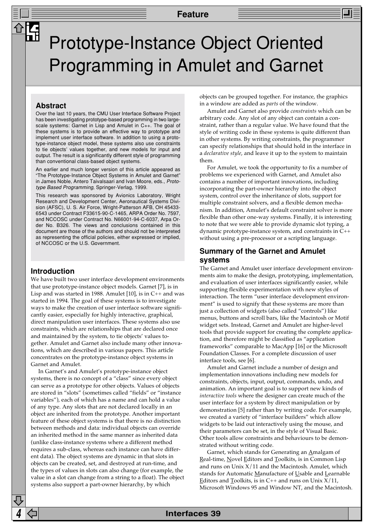## Prototype-Instance Object Oriented Programming in Amulet and Garnet

#### **Abstract**

Over the last 10 years, the CMU User Interface Software Project has been investigating prototype-based programming in two largescale systems: Garnet in Lisp and Amulet in C++. The goal of these systems is to provide an effective way to prototype and implement user interface software. In addition to using a prototype-instance object model, these systems also use constraints to tie objects' values together, and new models for input and output. The result is a significantly different style of programming than conventional class-based object systems.

An earlier and much longer version of this article appeared as "The Prototype-Instance Object Systems in Amulet and Garnet" in James Noble, Antero Taivalsaari and Ivan Moore, eds., Prototype Based Programming, Springer-Verlag, 1999.

This research was sponsored by Avionics Laboratory, Wright Research and Development Center, Aeronautical Systems Division (AFSC), U. S. Air Force, Wright-Patterson AFB, OH 45433- 6543 under Contract F33615-90-C-1465, ARPA Order No. 7597, and NCCOSC under Contract No. N66001-94-C-6037, Arpa Order No. B326. The views and conclusions contained in this document are those of the authors and should not be interpreted as representing the official policies, either expressed or implied, of NCCOSC or the U.S. Government.

#### **Introduction**

We have built two user interface development environments that use prototype-instance object models. Garnet [7], is in Lisp and was started in 1988. Amulet [10], is in C++ and was started in 1994. The goal of these systems is to investigate ways to make the creation of user interface software significantly easier, especially for highly interactive, graphical, direct manipulation user interfaces. These systems also use constraints, which are relationships that are declared once and maintained by the system, to tie objects' values together. Amulet and Garnet also include many other innovations, which are described in various papers. This article concentrates on the prototype-instance object systems in Garnet and Amulet.

In Garnet's and Amulet's prototype-instance object systems, there is no concept of a "class" since every object can serve as a prototype for other objects. Values of objects are stored in "slots" (sometimes called "fields" or "instance variables"), each of which has a name and can hold a value of any type. Any slots that are not declared locally in an object are inherited from the prototype. Another important feature of these object systems is that there is no distinction between methods and data: individual objects can override an inherited method in the same manner as inherited data (unlike class-instance systems where a different method requires a sub-class, whereas each instance can have different data). The object systems are dynamic in that slots in objects can be created, set, and destroyed at run-time, and the types of values in slots can also change (for example, the value in a slot can change from a string to a float). The object systems also support a part-owner hierarchy, by which

objects can be grouped together. For instance, the graphics in a window are added as *parts* of the window.

Amulet and Garnet also provide *constraints* which can be arbitrary code. Any slot of any object can contain a constraint, rather than a regular value. We have found that the style of writing code in these systems is quite different than in other systems. By writing constraints, the programmer can specify relationships that should hold in the interface in a *declarative style*, and leave it up to the system to maintain them.

For Amulet, we took the opportunity to fix a number of problems we experienced with Garnet, and Amulet also contains a number of important innovations, including incorporating the part-owner hierarchy into the object system, control over the inheritance of slots, support for multiple constraint solvers, and a flexible demon mechanism. In addition, Amulet's default constraint solver is more flexible than other one-way systems. Finally, it is interesting to note that we were able to provide dynamic slot typing, a dynamic prototype-instance system, and constraints in C++ without using a pre-processor or a scripting language.

### **Summary of the Garnet and Amulet systems**

The Garnet and Amulet user interface development environments aim to make the design, prototyping, implementation, and evaluation of user interfaces significantly easier, while supporting flexible experimentation with new styles of interaction. The term "user interface development environment" is used to signify that these systems are more than just a collection of widgets (also called "controls") like menus, buttons and scroll bars, like the Macintosh or Motif widget sets. Instead, Garnet and Amulet are higher-level tools that provide support for creating the complete application, and therefore might be classified as "application frameworks" comparable to MacApp [16] or the Microsoft Foundation Classes. For a complete discussion of user interface tools, see [6].

Amulet and Garnet include a number of design and implementation innovations including new models for constraints, objects, input, output, commands, undo, and animation. An important goal is to support new kinds of *interactive tools* where the designer can create much of the user interface for a system by direct manipulation or by demonstration [5] rather than by writing code. For example, we created a variety of "interface builders" which allow widgets to be laid out interactively using the mouse, and their parameters can be set, in the style of Visual Basic. Other tools allow constraints and behaviours to be demonstrated without writing code.

Garnet, which stands for Generating an  $\underline{\mathbf{A}}$ malgam of Real-time, Novel Editors and Toolkits, is in Common Lisp and runs on Unix  $X/11$  and the Macintosh. Amulet, which stands for Automatic Manufacture of Usable and Learnable Editors and Toolkits, is in  $C_{++}$  and runs on Unix  $X/11$ , Microsoft Windows 95 and Window NT, and the Macintosh.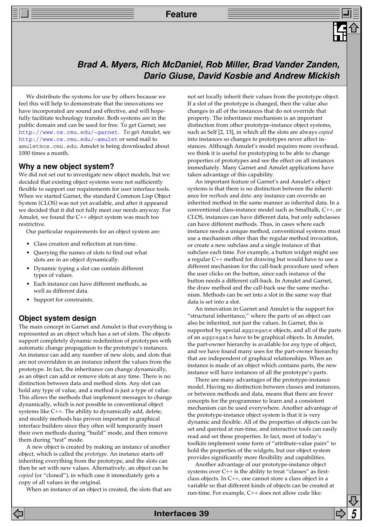## **Brad A. Myers, Rich McDaniel, Rob Miller, Brad Vander Zanden, Dario Giuse, David Kosbie and Andrew Mickish**

We distribute the systems for use by others because we feel this will help to demonstrate that the innovations we have incorporated are sound and effective, and will hopefully facilitate technology transfer. Both systems are in the public domain and can be used for free. To get Garnet, see [http://www.cs.cmu.edu/~garnet](http://www.cs.cmu.edu/~garnet/). To get Amulet, see <http://www.cs.cmu.edu/~amulet> or send mail to amulet@cs.cmu.edu. Amulet is being downloaded about 1000 times a month.

#### **Why a new object system?**

We did not set out to investigate new object models, but we decided that existing object systems were not sufficiently flexible to support our requirements for user interface tools. When we started Garnet, the standard Common Lisp Object System (CLOS) was not yet available, and after it appeared we decided that it did not fully meet our needs anyway. For Amulet, we found the C++ object system was much too restrictive.

Our particular requirements for an object system are:

- Class creation and reflection at run-time.
- Querying the names of slots to find out what slots are in an object dynamically.
- Dynamic typing a slot can contain different types of values.
- Each instance can have different methods, as well as different data.
- Support for constraints.

#### **Object system design**

The main concept in Garnet and Amulet is that everything is represented as an object which has a set of slots. The objects support completely dynamic redefinition of prototypes with automatic change propagation to the prototype's instances. An instance can add any number of new slots, and slots that are not overridden in an instance inherit the values from the prototype. In fact, the inheritance can change dynamically, as an object can add or remove slots at any time. There is no distinction between data and method slots. Any slot can hold any type of value, and a method is just a type of value. This allows the methods that implement messages to change dynamically, which is not possible in conventional object systems like C++. The ability to dynamically add, delete, and modify methods has proven important in graphical interface builders since they often will temporarily insert their own methods during "build" mode, and then remove them during "test" mode.

A new object is created by making an instan*ce* of another object, which is called the *prototype.* An instance starts off inheriting everything from the prototype, and the slots can then be set with new values. Alternatively, an object can be *copied* (or "cloned"), in which case it immediately gets a copy of all values in the original.

When an instance of an object is created, the slots that are

not set locally inherit their values from the prototype object. If a slot of the prototype is changed, then the value also changes in all of the instances that do not override that property. The inheritance mechanism is an important distinction from other prototype-instance object systems, such as Self [2, 13], in which all the slots are always *copied* into instances so changes to prototypes never affect instances. Although Amulet's model requires more overhead, we think it is useful for prototyping to be able to change properties of prototypes and see the effect on all instances immediately. Many Garnet and Amulet applications have taken advantage of this capability.

An important feature of Garnet's and Amulet's object systems is that there is no distinction between the inheritance for *methods* and *data*: any instance can override an inherited method in the same manner as inherited data. In a conventional class-instance model such as Smalltalk, C++, or CLOS, instances can have different data, but only subclasses can have different methods. Thus, in cases where each instance needs a unique method, conventional systems must use a mechanism other than the regular method invocation, or create a new subclass and a single instance of that subclass each time. For example, a button widget might use a regular C++ method for drawing but would have to use a different mechanism for the call-back procedure used when the user clicks on the button, since each instance of the button needs a different call-back. In Amulet and Garnet, the draw method and the call-back use the same mechanism. Methods can be set into a slot in the same way that data is set into a slot.

An innovation in Garnet and Amulet is the support for "structural inheritance," where the part*s* of an object can also be inherited, not just the values. In Garnet, this is supported by special aggregate objects, and all of the parts of an aggregate have to be graphical objects. In Amulet, the part-owner hierarchy is available for *any* type of object, and we have found many uses for the part-owner hierarchy that are independent of graphical relationships. When an instance is made of an object which contains parts, the new instance will have instances of all the prototype's parts.

There are many advantages of the prototype-instance model. Having no distinction between classes and instances, or between methods and data, means that there are fewer concepts for the programmer to learn and a consistent mechanism can be used everywhere. Another advantage of the prototype-instance object system is that it is very dynamic and flexible. All of the properties of objects can be set and queried at run-time, and interactive tools can easily read and set these properties. In fact, most of today's toolkits implement some form of "attribute-value pairs" to hold the properties of the widgets, but our object system provides significantly more flexibility and capabilities.

Another advantage of our prototype-instance object systems over C++ is the ability to treat "classes" as firstclass objects. In C++, one cannot store a class object in a variable so that different kinds of objects can be created at run-time. For example, C++ does not allow code like: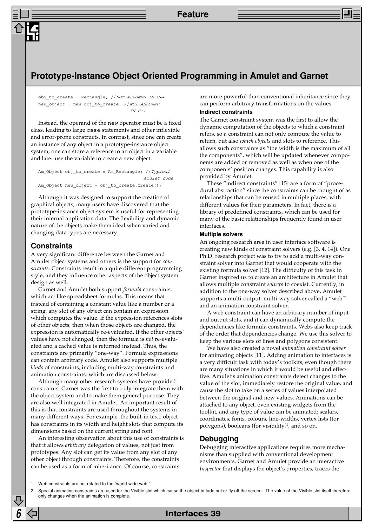## **Prototype-Instance Object Oriented Programming in Amulet and Garnet**

obj to create = Rectangle;  $//NOT ALLOWED IN C++$ new\_object = new obj\_to\_create; //NOT ALLOWED  $TN$   $C_{++}$ 

Instead, the operand of the new operator must be a fixed class, leading to large case statements and other inflexible and error-prone constructs. In contrast, since one can create an instance of any object in a prototype-instance object system, one can store a reference to an object in a variable and later use the variable to create a new object:

Am\_Object obj\_to\_create = Am\_Rectangle; //Typical Amulet code Am\_Object new\_object = obj\_to\_create.Create();

Although it was designed to support the creation of graphical objects, many users have discovered that the prototype-instance object system is useful for representing their internal application data. The flexibility and dynamic nature of the objects make them ideal when varied and changing data types are necessary.

### **Constraints**

A very significant difference between the Garnet and Amulet object systems and others is the support for *constraints*. Constraints result in a quite different programming style, and they influence other aspects of the object system design as well.

Garnet and Amulet both support *formula* constraints, which act like spreadsheet formulas. This means that instead of containing a constant value like a number or a string, any slot of any object can contain an expression which computes the value. If the expression references slots of other objects, then when those objects are changed, the expression is automatically re-evaluated. If the other objects' values have not changed, then the formula is *not* re-evaluated and a cached value is returned instead. Thus, the constraints are primarily "one-way". Formula expressions can contain arbitrary code. Amulet also supports multiple *kinds* of constraints, including multi-way constraints and animation constraints, which are discussed below.

Although many other research systems have provided constraints, Garnet was the first to truly integrate them with the object system and to make them general purpose. They are also well integrated in Amulet. An important result of this is that constraints are used throughout the systems in many different ways. For example, the built-in text object has constraints in its width and height slots that compute its dimensions based on the current string and font.

An interesting observation about this use of constraints is that it allows *arbitrary* delegation of values, not just from prototypes. Any slot can get its value from any slot of any other object through constraints. Therefore, the constraints can be used as a form of inheritance. Of course, constraints

are more powerful than conventional inheritance since they can perform arbitrary transformations on the values.

#### **Indirect constraints**

The Garnet constraint system was the first to allow the dynamic computation of the objects to which a constraint refers, so a constraint can not only compute the value to return, but also *which objects* and slots to reference. This allows such constraints as "the width is the maximum of all the components", which will be updated whenever components are added or removed as well as when one of the components' position changes. This capability is also provided by Amulet.

These "indirect constraints" [15] are a form of "procedural abstraction" since the constraints can be thought of as relationships that can be reused in multiple places, with different values for their parameters. In fact, there is a library of predefined constraints, which can be used for many of the basic relationships frequently found in user interfaces.

#### **Multiple solvers**

An ongoing research area in user interface software is creating new kinds of constraint solvers (e.g. [3, 4, 14]). One Ph.D. research project was to try to add a multi-way constraint solver into Garnet that would cooperate with the existing formula solver [12]. The difficulty of this task in Garnet inspired us to create an architecture in Amulet that allows multiple constraint *solvers* to coexist. Currently, in addition to the one-way solver described above, Amulet supports a multi-output, multi-way solver called a "web"<sup>1</sup> and an animation constraint solver.

A web constraint can have an arbitrary number of input and output slots, and it can dynamically compute the dependencies like formula constraints. Webs also keep track of the order that dependencies change. We use this solver to keep the various slots of lines and polygons consistent.

We have also created a novel *animation constraint solver* for animating objects [11]. Adding animation to interfaces is a very difficult task with today's toolkits, even though there are many situations in which it would be useful and effective. Amulet's animation constraints detect changes to the value of the slot, immediately restore the original value, and cause the slot to take on a series of values interpolated between the original and new values. Animations can be attached to any object, even existing widgets from the toolkit, and any type of value can be animated: scalars, coordinates, fonts, colours, line-widths, vertex lists (for polygons), booleans (for visibility)<sup>2</sup>, and so on.

#### **Debugging**

Debugging interactive applications requires more mechanisms than supplied with conventional development environments. Garnet and Amulet provide an interactive *Inspector* that displays the object's properties, traces the

```
1. Web constraints are not related to the "world-wide-web."
```
<sup>2.</sup> Special animation constraints are used for the Visible slot which cause the object to fade out or fly off the screen. The value of the Visible slot itself therefore only changes when the animation is complete.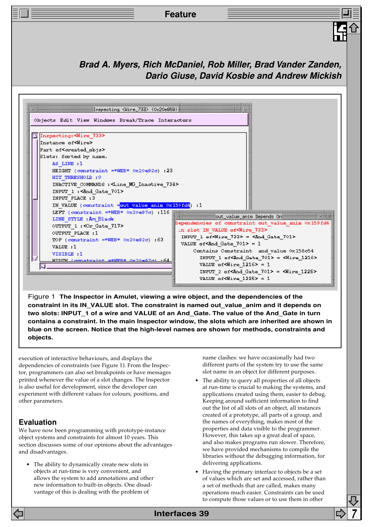

Figure 1 **The Inspector in Amulet, viewing a wire object, and the dependencies of the constraint in its IN\_VALUE slot. The constraint is named out\_value\_anim and it depends on two slots: INPUT\_1 of a wire and VALUE of an And\_Gate. The value of the And\_Gate in turn contains a constraint. In the main Inspector window, the slots which are inherited are shown in blue on the screen. Notice that the high-level names are shown for methods, constraints and objects.**

execution of interactive behaviours, and displays the dependencies of constraints (see Figure 1). From the Inspector, programmers can also set breakpoints or have messages printed whenever the value of a slot changes. The Inspector is also useful for development, since the developer can experiment with different values for colours, positions, and other parameters.

## **Evaluation**

We have now been programming with prototype-instance object systems and constraints for almost 10 years. This section discusses some of our opinions about the advantages and disadvantages.

• The ability to dynamically create new slots in objects at run-time is very convenient, and allows the system to add annotations and other new information to built-in objects. One disadvantage of this is dealing with the problem of

name clashes: we have occasionally had two different parts of the system try to use the same slot name in an object for different purposes.

- The ability to query all properties of all objects at run-time is crucial to making the systems, and applications created using them, easier to debug. Keeping around sufficient information to find out the list of all slots of an object, all instances created of a prototype, all parts of a group, and the names of everything, makes most of the properties and data visible to the programmer. However, this takes up a great deal of space, and also makes programs run slower. Therefore, we have provided mechanisms to compile the libraries without the debugging information, for delivering applications.
- Having the primary interface to objects be a set of values which are set and accessed, rather than a set of methods that are called, makes many operations much easier. Constraints can be used to compute those values or to use them in other

**Interfaces 39**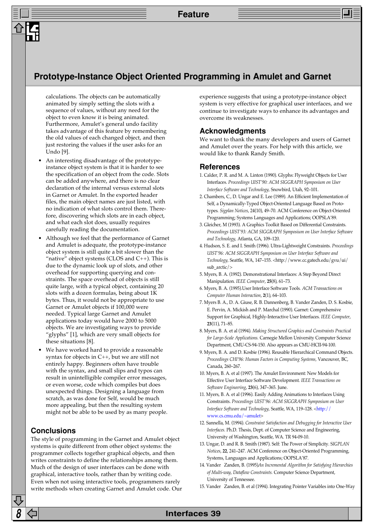## **Prototype-Instance Object Oriented Programming in Amulet and Garnet**

calculations. The objects can be automatically animated by simply setting the slots with a sequence of values, without any need for the object to even know it is being animated. Furthermore, Amulet's general undo facility takes advantage of this feature by remembering the old values of each changed object, and then just restoring the values if the user asks for an Undo [9].

- An interesting disadvantage of the prototypeinstance object system is that it is harder to see the specification of an object from the code. Slots can be added anywhere, and there is no clear declaration of the internal versus external slots in Garnet or Amulet. In the exported header files, the main object names are just listed, with no indication of what slots control them. Therefore, discovering which slots are in each object, and what each slot does, usually requires carefully reading the documentation.
- Although we feel that the performance of Garnet and Amulet is adequate, the prototype-instance object system is still quite a bit slower than the "native" object systems (CLOS and  $C_{++}$ ). This is due to the dynamic look up of slots, and other overhead for supporting querying and constraints. The space overhead of objects is still quite large, with a typical object, containing 20 slots with a dozen formulas, being about 1K bytes. Thus, it would not be appropriate to use Garnet or Amulet objects if 100,000 were needed. Typical large Garnet and Amulet applications today would have 2000 to 5000 objects. We are investigating ways to provide "glyphs" [1], which are very small objects for these situations [8].
- We have worked hard to provide a reasonable syntax for objects in C++, but we are still not entirely happy. Beginners often have trouble with the syntax, and small slips and typos can result in unintelligible compiler error messages, or even worse, code which compiles but does unexpected things. Designing a language from scratch, as was done for Self, would be much more appealing, but then the resulting system might not be able to be used by as many people.

## **Conclusions**

The style of programming in the Garnet and Amulet object systems is quite different from other object systems: the programmer collects together graphical objects, and then writes constraints to define the relationships among them. Much of the design of user interfaces can be done with graphical, interactive tools, rather than by writing code. Even when not using interactive tools, programmers rarely write methods when creating Garnet and Amulet code. Our experience suggests that using a prototype-instance object system is very effective for graphical user interfaces, and we continue to investigate ways to enhance its advantages and overcome its weaknesses.

#### **Acknowledgments**

We want to thank the many developers and users of Garnet and Amulet over the years. For help with this article, we would like to thank Randy Smith.

#### **References**

- 1. Calder, P. R. and M. A. Linton (1990). Glyphs: Flyweight Objects for User Interfaces. *Proceedings UIST'90: ACM SIGGRAPH Symposium on User Interface Software and Technology,* Snowbird, Utah, 92–101.
- 2. Chambers, C., D. Ungar and E. Lee (1989). An Efficient Implementation of Self, a Dynamically-Typed Object-Oriented Language Based on Prototypes*. Sigplan Notices*, 24(10), 49–70. ACM Conference on Object-Oriented Programming; Systems Languages and Applications; OOPSLA'89.
- 3. Gleicher, M (1993). A Graphics Toolkit Based on Differential Constraints. *Proceedings UIST'93: ACM SIGGRAPH Symposium on User Interface Software and Technology,* Atlanta, GA, 109–120.
- 4. Hudson, S. E. and I. Smith (1996). Ultra-Lightweight Constraints. *Proceedings UIST'96: ACM SIGGRAPH Symposium on User Interface Software and Technology,* Seattle, WA, 147–155. <http://www.cc.gatech.edu/gvu/ui/ sub arctic/>
- 5. Myers, B. A. (1992). Demonstrational Interfaces: A Step Beyond Direct Manipulation*. IEEE Computer*, **25**(8), 61–73.
- 6. Myers, B. A. (1995).User Interface Software Tools*. ACM Transactions on Computer Human Interaction*, **2**(1), 64–103.
- 7. Myers B. A., D. A. Giuse, R. B. Dannenberg, B. Vander Zanden, D. S. Kosbie, E. Pervin, A. Mickish and P. Marchal (1990). Garnet: Comprehensive Support for Graphical, Highly-Interactive User Interfaces. *IEEE Computer*, **23**(11), 71–85.
- 8. Myers, B. A. et al (1994). *Making Structured Graphics and Constraints Practical for Large-Scale Applications.* Carnegie Mellon University Computer Science Department, CMU-CS-94-150. Also appears as CMU-HCII-94-100.
- 9. Myers, B. A. and D. Kosbie (1996). Reusable Hierarchical Command Objects. *Proceedings CHI'96: Human Factors in Computing Systems,* Vancouver, BC, Canada, 260–267.
- 10. Myers, B. A. et al (1997). The Amulet Environment: New Models for Effective User Interface Software Development*. IEEE Transactions on Software Engineering*, **23**(6), 347–365. June.
- 11. Myers, B. A. et al (1996). Easily Adding Animations to Interfaces Using Constraints. *Proceedings UIST'96: ACM SIGGRAPH Symposium on User Interface Software and Technology,* Seattle, WA, 119–128. <http:// [www.cs.cmu.edu/~amulet>](http://www.cs.cmu.edu/~amulet/)
- 12. Sannella, M. (1994). *Constraint Satisfaction and Debugging for Interactive User Interfaces.* Ph.D. Thesis, Dept. of Computer Science and Engineering, University of Washington, Seattle, WA. TR 94-09-10.
- 13. Ungar, D. and R. B. Smith (1987). Self: The Power of Simplicity. S*IGPLAN Notices*, **22**, 241–247. ACM Conference on Object-Oriented Programming, Systems, Languages and Applications; OOPSLA'87.
- 14. Vander Zanden, B. (1995)An Incremental Algorithm for Satisfying Hierarchies *of Multi-way, Dataflow Constraints.* Computer Science Department, University of Tennessee.

<sup>15.</sup> Vander Zanden, B. et al (1994). Integrating Pointer Variables into One-Way

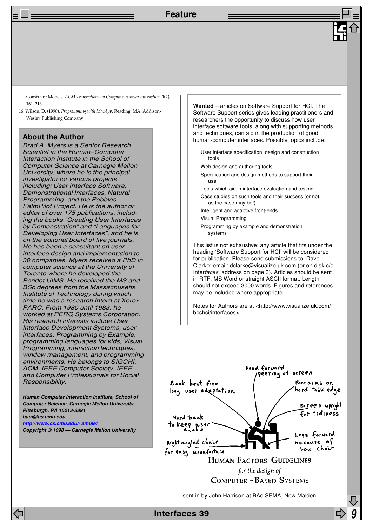Constraint Models*. ACM Transactions on Computer Human Interaction*, **1**(2), 161–213.

16. Wilson, D. (1990). *Programming with MacApp.* Reading, MA: Addison-Wesley Publishing Company.

### **About the Author**

Brad A. Myers is a Senior Research Scientist in the Human–Computer Interaction Institute in the School of Computer Science at Carnegie Mellon University, where he is the principal investigator for various projects including: User Interface Software, Demonstrational Interfaces, Natural Programming, and the Pebbles PalmPilot Project. He is the author or editor of over 175 publications, including the books "Creating User Interfaces by Demonstration" and "Languages for Developing User Interfaces", and he is on the editorial board of five journals. He has been a consultant on user interface design and implementation to 30 companies. Myers received a PhD in computer science at the University of Toronto where he developed the Peridot UIMS. He received the MS and BSc degrees from the Massachusetts Institute of Technology during which time he was a research intern at Xerox PARC. From 1980 until 1983, he worked at PERQ Systems Corporation. His research interests include User Interface Development Systems, user interfaces, Programming by Example, programming languages for kids, Visual Programming, interaction techniques, window management, and programming environments. He belongs to SIGCHI, ACM, IEEE Computer Society, IEEE, and Computer Professionals for Social Responsibility.

**Human Computer Interaction Institute, School of Computer Science, Carnegie Mellon University, Pittsburgh, PA 15213-3891 bam@cs.cmu.edu [http://www.cs.cmu.edu/~amulet](http://www.cs.cmu.edu/~amulet/) Copyright © 1998 — Carnegie Mellon University**

**Wanted** – articles on Software Support for HCI. The Software Support series gives leading practitioners and researchers the opportunity to discuss how user interface software tools, along with supporting methods and techniques, can aid in the production of good human-computer interfaces. Possible topics include:

- User interface specification, design and construction tools
- Web design and authoring tools
- Specification and design methods to support their use
- Tools which aid in interface evaluation and testing
- Case studies on such tools and their success (or not, as the case may be!)
- Intelligent and adaptive front-ends
- Visual Programming
- Programming by example and demonstration systems

This list is not exhaustive: any article that fits under the heading 'Software Support for HCI' will be considered for publication. Please send submissions to: Dave Clarke; email: dclarke@visualize.uk.com (or on disk c/o Interfaces, address on page 3). Articles should be sent in RTF, MS Word or straight ASCII format. Length should not exceed 3000 words. Figures and references may be included where appropriate.

Notes for Authors are at <http://www.visualize.uk.com/ bcshci/interfaces>



sent in by John Harrison at BAe SEMA, New Malden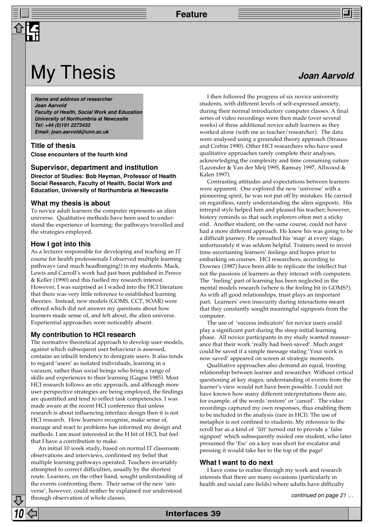## My Thesis **My Thesis Joan Aarvold**

**Name and address of researcher Joan Aarvold Faculty of Health, Social Work and Education University of Northumbria at Newcastle Tel: +44 (0)191 2273433 Email: joan.aarvold@unn.ac.uk**

**Title of thesis Close encounters of the fourth kind**

#### **Supervisor, department and institution**

**Director of Studies: Bob Heyman, Professor of Health Social Research, Faculty of Health, Social Work and Education, University of Northumbria at Newcastle**

#### **What my thesis is about**

To novice adult learners the computer represents an alien universe. Qualitative methods have been used to understand the experience of learning; the pathways travelled and the strategies employed.

#### **How I got into this**

As a lecturer responsible for developing and teaching an IT course for health professionals I observed multiple learning pathways (and much headbanging!) in my students. Mack, Lewis and Carroll's work had just been published in Preece & Keller (1990) and this fuelled my research interest. However, I was surprised as I waded into the HCI literature that there was very little reference to established learning theories. Instead, new models (GOMS, CCT, SOAR) were offered which did not answer my questions about how learners made sense of, and felt about, the alien universe. Experiential approaches were noticeably absent.

#### **My contribution to HCI research**

The normative theoretical approach to develop user-models, against which subsequent user behaviour is assessed, contains an inbuilt tendency to denigrate users. It also tends to regard 'users' as isolated individuals, learning in a vacuum, rather than social beings who bring a range of skills and experiences to their learning (Gagne 1985). Most HCI research follows an etic approach, and although more user-perspective strategies are being employed, the findings are quantified and tend to reflect task competencies. I was made aware at the recent HCI conference that unless research is about influencing interface design then it is not HCI research. How learners recognise, make sense of, manage and react to problems has informed my design and methods. I am most interested in the H bit of HCI, but feel that I have a contribution to make.

An initial 10 week study, based on normal IT classroom observations and interviews, confirmed my belief that multiple learning pathways operated. Teachers invariably attempted to correct difficulties, usually by the shortest route. Learners, on the other hand, sought understanding of the events confronting them. Their sense of the new 'universe', however, could neither be explained nor understood through observation of whole classes.

I then followed the progress of six novice university students, with different levels of self-expressed anxiety, during their normal introductory computer classes. A final series of video recordings were then made (over several weeks) of three additional novice adult learners as they worked alone (with me as teacher/researcher). The data were analysed using a grounded theory approach (Strauss and Corbin 1990). Other HCI researchers who have used qualitative approaches rarely complete their analyses, acknowledging the complexity and time consuming nature (Lazonder & Van der Meij 1995, Ramsay 1997, Allwood & Kalen 1997).

Contrasting attitudes and expectations between learners were apparent. One explored the new 'universe' with a pioneering spirit, he was not put off by mistakes. He carried on regardless, rarely understanding the alien signposts. His intrepid style helped him and pleased his teacher; however, history reminds us that such explorers often met a sticky end. Another student, on the same course, could not have had a more different approach. He knew his was going to be a difficult journey. He consulted his 'map' at every stage, unfortunately it was seldom helpful. Trainers need to invest time ascertaining learners' feelings and hopes prior to embarking on courses. HCI researchers, according to Downes (1987) have been able to replicate the intellect but not the passions of learners as they interact with computers. The 'feeling' part of learning has been neglected in the mental models research (where is the feeling bit in GOMS?). As with all good relationships, trust plays an important part. Learners' own insecurity during interactions meant that they constantly sought meaningful signposts from the computer.

The use of 'success indicators' for novice users could play a significant part during the steep initial learning phase. All novice participants in my study wanted reassurance that their work 'really had been saved'. Much angst could be saved if a simple message stating 'Your work is now saved' appeared on screen at strategic moments.

Qualitative approaches also demand an equal, trusting relationship between learner and researcher. Without critical questioning at key stages, understanding of events from the learner's view would not have been possible. I could not have known how many different interpretations there are, for example, of the words 'restore' or 'cancel'. The video recordings captured my own responses, thus enabling them to be included in the analysis (rare in HCI). The use of metaphor is not confined to students. My reference to the scroll bar as a kind of 'lift' turned out to provide a 'false signpost' which subsequently misled one student, who later presumed the 'Esc' on a key was short for escalator and pressing it would take her to the top of the page!

#### **What I want to do next**

I have come to realise through my work and research interests that there are many occasions (particularly in health and social care fields) where adults have difficulty

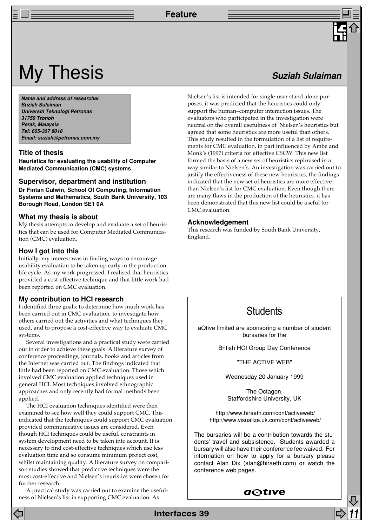## **My Thesis Suziah Sulaiman**

**Name and address of researcher Suziah Sulaiman Universiti Teknologi Petronas 31750 Tronoh Perak, Malaysia Tel: 605-367 8018 Email: suziah@petronas.com.my**

#### **Title of thesis**

**Heuristics for evaluating the usability of Computer Mediated Communication (CMC) systems**

#### **Supervisor, department and institution**

**Dr Fintan Culwin, School Of Computing, Information Systems and Mathematics, South Bank University, 103 Borough Road, London SE1 0A**

#### **What my thesis is about**

My thesis attempts to develop and evaluate a set of heuristics that can be used for Computer Mediated Communication (CMC) evaluation.

#### **How I got into this**

Initially, my interest was in finding ways to encourage usability evaluation to be taken up early in the production life cycle. As my work progressed, I realised that heuristics provided a cost-effective technique and that little work had been reported on CMC evaluation.

#### **My contribution to HCI research**

I identified three goals: to determine how much work has been carried out in CMC evaluation, to investigate how others carried out the activities and what techniques they used, and to propose a cost-effective way to evaluate CMC systems.

Several investigations and a practical study were carried out in order to achieve these goals. A literature survey of conference proceedings, journals, books and articles from the Internet was carried out. The findings indicated that little had been reported on CMC evaluation. Those which involved CMC evaluation applied techniques used in general HCI. Most techniques involved ethnographic approaches and only recently had formal methods been applied.

The HCI evaluation techniques identified were then examined to see how well they could support CMC. This indicated that the techniques could support CMC evaluation provided communicative issues are considered. Even though HCI techniques could be useful, constraints in system development need to be taken into account. It is necessary to find cost-effective techniques which use less evaluation time and so consume minimum project cost, whilst maintaining quality. A literature survey on comparison studies showed that predictive techniques were the most cost-effective and Nielsen's heuristics were chosen for further research.

A practical study was carried out to examine the usefulness of Nielsen's list in supporting CMC evaluation. As

Nielsen's list is intended for single-user stand alone purposes, it was predicted that the heuristics could only support the human–computer interaction issues. The evaluators who participated in the investigation were neutral on the overall usefulness of Nielsen's heuristics but agreed that some heuristics are more useful than others. This study resulted in the formulation of a list of requirements for CMC evaluation, in part influenced by Ambe and Monk's (1997) criteria for effective CSCW. This new list formed the basis of a new set of heuristics rephrased in a way similar to Nielsen's. An investigation was carried out to justify the effectiveness of these new heuristics, the findings indicated that the new set of heuristics are more effective than Nielsen's list for CMC evaluation. Even though there are many flaws in the production of the heuristics, it has been demonstrated that this new list could be useful for CMC evaluation.

#### **Acknowledgement**

This research was funded by South Bank University, England.

## **Students**

aQtive limited are sponsoring a number of student bursaries for the

British HCI Group Day Conference

"THE ACTIVE WEB"

Wednesday 20 January 1999

The Octagon, Staffordshire University, UK

 http://www.hiraeth.com/conf/activeweb/ http://www.visualize.uk.com/conf/activeweb/

The bursaries will be a contribution towards the students' travel and subsistence. Students awarded a bursary will also have their conference fee waived. For information on how to apply for a bursary please contact Alan Dix (alan@hiraeth.com) or watch the conference web pages.

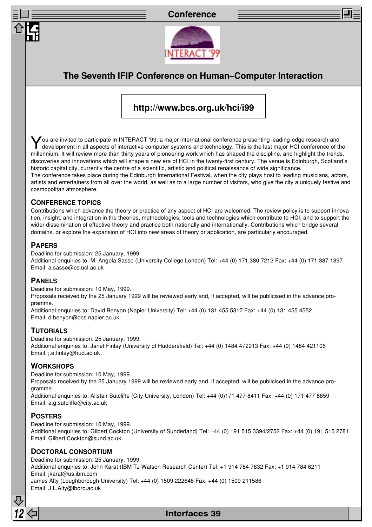## **Conference**



## **The Seventh IFIP Conference on Human–Computer Interaction**

## **http://www.bcs.org.uk/hci/i99**

You are invited to participate in INTERACT '99, a major international conference presenting leading-edge research and development in all aspects of interactive computer systems and technology. This is the last major HCI conference of the millennium. It will review more than thirty years of pioneering work which has shaped the discipline, and highlight the trends, discoveries and innovations which will shape a new era of HCI in the twenty-first century. The venue is Edinburgh, Scotland's historic capital city, currently the centre of a scientific, artistic and political renaissance of wide significance. The conference takes place during the Edinburgh International Festival, when the city plays host to leading musicians, actors, artists and entertainers from all over the world, as well as to a large number of visitors, who give the city a uniquely festive and cosmopolitan atmosphere.

## **CONFERENCE TOPICS**

Contributions which advance the theory or practice of any aspect of HCI are welcomed. The review policy is to support innovation, insight, and integration in the theories, methodologies, tools and technologies which contribute to HCI, and to support the wider dissemination of effective theory and practice both nationally and internationally. Contributions which bridge several domains, or explore the expansion of HCI into new areas of theory or application, are particularly encouraged.

### **PAPERS**

Deadline for submission: 25 January, 1999.

Additional enquiries to: M. Angela Sasse (University College London) Tel: +44 (0) 171 380 7212 Fax: +44 (0) 171 387 1397 Email: a.sasse@cs.ucl.ac.uk

## **PANELS**

Deadline for submission: 10 May, 1999.

Proposals received by the 25 January 1999 will be reviewed early and, if accepted, will be publicised in the advance programme.

Additional enquiries to: David Benyon (Napier University) Tel: +44 (0) 131 455 5317 Fax: +44 (0) 131 455 4552 Email: d.benyon@dcs.napier.ac.uk

## **TUTORIALS**

Deadline for submission: 25 January, 1999. Additional enquiries to: Janet Finlay (University of Huddersfield) Tel: +44 (0) 1484 472913 Fax: +44 (0) 1484 421106 Email: j.e.finlay@hud.ac.uk

## **WORKSHOPS**

Deadline for submission: 10 May, 1999.

Proposals received by the 25 January 1999 will be reviewed early and, if accepted, will be publicised in the advance programme.

Additional enquiries to: Alistair Sutcliffe (City University, London) Tel: +44 (0)171 477 8411 Fax: +44 (0) 171 477 8859 Email: a.g.sutcliffe@city.ac.uk

## **POSTERS**

Deadline for submission: 10 May, 1999.

Additional enquiries to: Gilbert Cockton (University of Sunderland) Tel: +44 (0) 191 515 3394/2752 Fax: +44 (0) 191 515 2781 Email: Gilbert.Cockton@sund.ac.uk

## **DOCTORAL CONSORTIUM**

Deadline for submission: 25 January, 1999. Additional enquiries to: John Karat (IBM TJ Watson Research Center) Tel: +1 914 784 7832 Fax: +1 914 784 6211 Email: jkarat@us.ibm.com James Alty (Loughborough University) Tel: +44 (0) 1509 222648 Fax: +44 (0) 1509 211586 Email: J.L.Alty@lboro.ac.uk

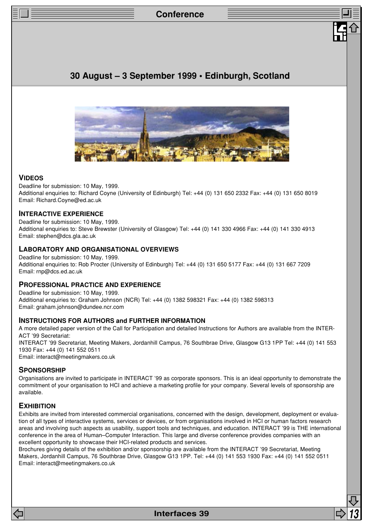## **Conference**

## **30 August – 3 September 1999 • Edinburgh, Scotland**



#### **VIDEOS**

Deadline for submission: 10 May, 1999. Additional enquiries to: Richard Coyne (University of Edinburgh) Tel: +44 (0) 131 650 2332 Fax: +44 (0) 131 650 8019 Email: Richard.Coyne@ed.ac.uk

#### **INTERACTIVE EXPERIENCE**

Deadline for submission: 10 May, 1999. Additional enquiries to: Steve Brewster (University of Glasgow) Tel: +44 (0) 141 330 4966 Fax: +44 (0) 141 330 4913 Email: stephen@dcs.gla.ac.uk

#### **LABORATORY AND ORGANISATIONAL OVERVIEWS**

Deadline for submission: 10 May, 1999. Additional enquiries to: Rob Procter (University of Edinburgh) Tel: +44 (0) 131 650 5177 Fax: +44 (0) 131 667 7209 Email: rnp@dcs.ed.ac.uk

#### **PROFESSIONAL PRACTICE AND EXPERIENCE**

Deadline for submission: 10 May, 1999. Additional enquiries to: Graham Johnson (NCR) Tel: +44 (0) 1382 598321 Fax: +44 (0) 1382 598313 Email: graham.johnson@dundee.ncr.com

#### **INSTRUCTIONS FOR AUTHORS and FURTHER INFORMATION**

A more detailed paper version of the Call for Participation and detailed Instructions for Authors are available from the INTER-ACT '99 Secretariat: INTERACT '99 Secretariat, Meeting Makers, Jordanhill Campus, 76 Southbrae Drive, Glasgow G13 1PP Tel: +44 (0) 141 553 1930 Fax: +44 (0) 141 552 0511 Email: interact@meetingmakers.co.uk

### **SPONSORSHIP**

Organisations are invited to participate in INTERACT '99 as corporate sponsors. This is an ideal opportunity to demonstrate the commitment of your organisation to HCI and achieve a marketing profile for your company. Several levels of sponsorship are available.

#### **EXHIBITION**

Exhibits are invited from interested commercial organisations, concerned with the design, development, deployment or evaluation of all types of interactive systems, services or devices, or from organisations involved in HCI or human factors research areas and involving such aspects as usability, support tools and techniques, and education. INTERACT '99 is THE international conference in the area of Human–Computer Interaction. This large and diverse conference provides companies with an excellent opportunity to showcase their HCI-related products and services.

Brochures giving details of the exhibition and/or sponsorship are available from the INTERACT '99 Secretariat, Meeting Makers, Jordanhill Campus, 76 Southbrae Drive, Glasgow G13 1PP. Tel: +44 (0) 141 553 1930 Fax: +44 (0) 141 552 0511 Email: interact@meetingmakers.co.uk

**Interfaces 39**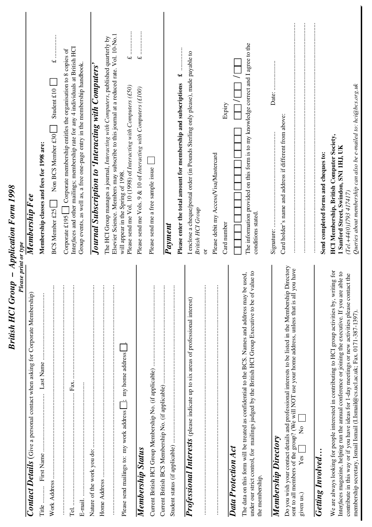| Please print or type                                                                                                                                                                                                                                                                                                                                                                                  |                                                                                                                                                                                                                                                                                           |
|-------------------------------------------------------------------------------------------------------------------------------------------------------------------------------------------------------------------------------------------------------------------------------------------------------------------------------------------------------------------------------------------------------|-------------------------------------------------------------------------------------------------------------------------------------------------------------------------------------------------------------------------------------------------------------------------------------------|
| Contact Details (Give a personal contact when asking for Corporate Membership)                                                                                                                                                                                                                                                                                                                        | Membership F ee                                                                                                                                                                                                                                                                           |
| Title                                                                                                                                                                                                                                                                                                                                                                                                 | Membership classes and fees for 1998 are:                                                                                                                                                                                                                                                 |
|                                                                                                                                                                                                                                                                                                                                                                                                       | $\overline{\mathbf{t}}$<br>Student £10<br>Non BCS Member £30<br>BCS Member £25                                                                                                                                                                                                            |
| Fax.                                                                                                                                                                                                                                                                                                                                                                                                  | Interfaces and other mailings; membership rate for any 4 individuals at British HCI<br>Corporate membership entitles the organisation to 8 copies of<br>Corporate £195                                                                                                                    |
|                                                                                                                                                                                                                                                                                                                                                                                                       | Group events, as well as, a free one-page entry in the membership handbook.                                                                                                                                                                                                               |
| $\vdots$                                                                                                                                                                                                                                                                                                                                                                                              | Journal Subscription to 'Interacting with Computers'                                                                                                                                                                                                                                      |
|                                                                                                                                                                                                                                                                                                                                                                                                       |                                                                                                                                                                                                                                                                                           |
| Please send mailings to: my work address [62]; my home address                                                                                                                                                                                                                                                                                                                                        | Elsevier Science. Members may subscribe to this journal at a reduced rate. Vol. 10-No.1<br>The HCI Group manages a journal, Interacting with Computers, published quarterly by<br>Please send me Vol. 10 (1998) of Interacting with Computers (£50)<br>will appear in the Spring of 1998. |
| Membership Status                                                                                                                                                                                                                                                                                                                                                                                     | $\overline{\mathbf{u}}$<br>Please send me Vols. 9 & 10 of Interacting with Computers (£100)                                                                                                                                                                                               |
|                                                                                                                                                                                                                                                                                                                                                                                                       | Please send me a free sample issue                                                                                                                                                                                                                                                        |
|                                                                                                                                                                                                                                                                                                                                                                                                       | $\overline{P}ayment$                                                                                                                                                                                                                                                                      |
|                                                                                                                                                                                                                                                                                                                                                                                                       | $\ddot{ }$<br>Please enter the total amount for membership and subscriptions                                                                                                                                                                                                              |
| Professional Interests (please indicate up to six areas of professional interest)                                                                                                                                                                                                                                                                                                                     | I enclose a cheque/postal order (in Pounds Sterling only please), made payable to<br><b>British HCI Group</b>                                                                                                                                                                             |
|                                                                                                                                                                                                                                                                                                                                                                                                       | Please debit my Access/Visa/Mastercard<br>ð                                                                                                                                                                                                                                               |
| Data Protection Act                                                                                                                                                                                                                                                                                                                                                                                   | Expiry<br>Card number                                                                                                                                                                                                                                                                     |
| alue to<br>The data on this form will be treated as confidential to the BCS. Names and address may be used,<br>under our strict control, for mailings judged by the British HCI Group Executive to be of v<br>the membership.                                                                                                                                                                         | The information provided on this form is to my knowledge correct and I agree to the<br>conditions stated.                                                                                                                                                                                 |
| <b>Membership Directory</b>                                                                                                                                                                                                                                                                                                                                                                           |                                                                                                                                                                                                                                                                                           |
| Do you wish your contact details and professional interests to be listed in the Membership Directory<br>sent to all members of the group? (We will NOT use your home address, unless that is all you have<br>$\frac{1}{2}$<br>$Yes$  <br>given us.)                                                                                                                                                   | Card holder's name and address if different from above:                                                                                                                                                                                                                                   |
| <b>Getting Involved</b>                                                                                                                                                                                                                                                                                                                                                                               | Send completed forms and cheques to:                                                                                                                                                                                                                                                      |
| We are always looking for people interested in contributing to HCI group activities by, writing for<br>Interfaces magazine, helping run the annual conference or joining the executive. If you are able to<br>contribute in this way or if you have ideas for 1-day meetings or new activities please contact the<br>membership secretary, Ismail Ismail (I.Ismail@cs.ucl.ac.uk; Fax. 0171-387-1397), | Queries about membership can also be e-mailed to: hci@bcs.org.uk<br><b>HCI Membership, British Computer Society,</b><br>1 Sanford Street, Swindon, SN1 1HJ, UK<br>(Tel.+44(0)1793 417417)                                                                                                 |

*British HCI Group – Application Form 1998*

**British HCI Group - Application Form 1998**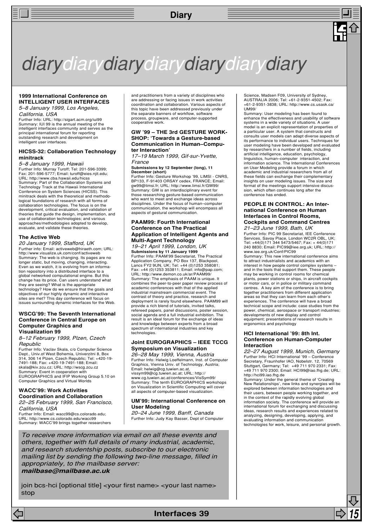

#### **1999 International Conference on INTELLIGENT USER INTERFACES** 5–8 January 1999, Los Angeles,

California. USA

Further Info: URL: http://sigart.acm.org/iui99 Summary: IUI 99 is the annual meeting of the intelligent interfaces community and serves as the principal international forum for reporting outstanding research and development on intelligent user interfaces.

#### **HICSS-32: Collaboration Technology minitrack**

*5—8 January 1999, Hawaii*<br>Further Info: Murray Turoff; Tel: 201-596-3399; Fax: 201-596-5777; Email: turoff@eies.njit.edu; URL: http://www.cba.hawaii.edu/hicss Summary: Part of the Collaboration Systems and Technology Track at the Hawaii International Conference on System Sciences (HICSS). This minitrack deals with the theoretical and methodological foundations of research with all forms of collaboration technologies. The focus is on the development, critical evaluation, and validation of theories that guide the design, implementation, and use of collaboration technologies; and various approaches/methodologies adopted to develop, evaluate, and validate these theories

#### **The Active Web**

20 January 1999, Stafford, UK Further info: Email: activeweb@hiraeth.com; URL: http://www.visualize.uk.com/conf/activeweb Summary: The web is changing. Its pages are no longer static, but moving, changing, interacting. Even as we watch, it is evolving from an information repository into a distributed interface to a global networked computational engine. But this change has its price. Can users understand what they are seeing? What is the appropriate technology? How do we ensure that the goals and objectives of our highly dynamic and interactive sites are met? This day conference will focus on issues surrounding dynamic interfaces for the Web.

#### **WSCG'99: The Seventh International Conference in Central Europe on Computer Graphics and Visualization 99**

#### 8–12 February 1999, Plzen, Czech **Republic**

Further Info: Vaclav Skala, c/o Computer Science Dept., Univ.of West Bohemia, Univerzitni 8, Box<br>314, 306 14 Plzen, Czech Republic; Tel: +420-19-<br>7491-188; Fax: +420-19-7491-188; Email:<br>skala@kiv.zcu.cz; URL: http://wscg.zcu.cz Summary: Event in cooperation with EUROGRAPHICS and IFIP Working Group 5.10 on Computer Graphics and Virtual Worlds

#### **WACC'99: Work Activities Coordination and Collaboration**

22–25 February 1999, San Francisco, California, USA Further Info: Email: wacc99@cs.colorado.edu; URL: http://www.cs.colorado.edu/wacc99 Summary: WACC'99 brings together researchers

and practitioners from a variety of disciplines who are addressing or facing issues in work activities coordination and collaboration. Various aspects of this topic have been addressed previously under the separate banners of workflow, software process, groupware, and computer-supported cooperative work.

#### **GW '99 – THE 3rd GESTURE WORK-SHOP: 'Towards a Gesture-based Communication in Human–Computer Interaction'**

17–19 March 1999, Gif-sur-Yvette, France

**Submissions by 12 September (long), 11 December (short)**

Further Info: Gesture Workshop '99, LIMSI - CNRS, BP133, F-91403 ORSAY cedex, FRANCE; Email: gw99@limsi.fr; URL: http://www.limsi.fr/GW99/ Summary: GW is an interdisciplinary event for those researching gesture-based communication who want to meet and exchange ideas across disciplines. Under the focus of human–computer communication, the workshop will encompass all aspects of gestural communication.

#### **PAAM99: Fourth International Conference on The Practical Application of Intelligent Agents and Multi-Agent Technology**

19–21 April 1999, London, UK **Submissions by 11 January 1999** Further Info: PAAM'99 Secretariat, The Practical Application Company, PO Box 137, Blackpool, Lancs FY2 9UN, UK; Tel: +44 (0)1253 358081; Fax: +44 (0)1253 353811; Email: info@pap.com; URL: http://www.demon.co.uk/ar/PAAM99/ Summary: The emphasis of PAAM is unique. It combines the peer-to-peer paper review process of academic conferences with that of the applied industrial mainstream commercial event. The contrast of theory and practice, research and deployment is rarely found elsewhere. PAAM99 will provide a rich blend of tutorials, invited talks, refereed papers, panel discussions, poster session, social agenda and a full industrial exhibition. The result is an ideal forum for the exchange of ideas and knowledge between experts from a broad spectrum of international industries and key technologies

#### **Joint EUROGRAPHICS – IEEE TCCG Symposium on Visualization**

26–28 May 1999, Vienna, Austria Further Info: Helwig Loeffelmann, Inst. of Computer Graphics, Vienna Univ. of Technology, Austria; Email: helwig@cg.tuwien.ac.at vissym99@cg.tuwien.ac.at; URL: http:// www.cg.tuwien.ac.at/conferences/VisSym99/ Summary: The tenth EUROGRAPHICS workshops on Visualization in Scientific Computing will cover

#### **UM'99: International Conference on User Modeling**

all aspects of computer-based visualization.

20–24 June 1999, Banff, Canada Further Info: Judy Kay Basser, Dept of Computer

To receive more information via email on all these events and others, together with full details of many industrial, academic, and research studentship posts, subscribe to our electronic mailing list by sending the following two-line message, filled in appropriately, to the mailbase server: **mailbase@mailbase.ac.uk**

join bcs-hci [optional title] <your first name> <your last name> stop

Science, Madsen F09, University of Sydney, AUSTRALIA 2006; Tel: +61-2-9351-4502; Fax: +61-2-9351-3838; URL: http://www.cs.usask.ca/  $11M99$ 

Summary: User modeling has been found to enhance the effectiveness and usability of software systems in a wide variety of situations. A user model is an explicit representation of properties of a particular user. A system that constructs and consults user models can adapt diverse aspects of its performance to individual users. Techniques for user modeling have been developed and evaluated by researchers in a number of fields, including artificial intelligence, education, psychology, linguistics, human–computer interaction, and information science. The International Conferences on User Modeling provide a forum in which academic and industrial researchers from all of these fields can exchange their complementary insights on user modeling issues. The size and format of the meetings support intensive discussion, which often continues long after the conference has ended.

#### **PEOPLE IN CONTROL: An International Conference on Human Interfaces in Control Rooms, Cockpits and Command Centres**

21–23 June 1999, Bath, UK Further Info: PIC 99 Secretariat, IEE Conference Services, Savoy Place, London WC2R OBL, UK; Tel: +44(0)171 344 5473/5467; Fax: + 44(0)171 240 8830; Email: PIC99@iee.org.uk; URL: http:// www.iee.org.uk/Conf/PIC99 Summary: This new international conference aims

to attract industrialists and academics with an interest in how people control complex systems – and in the tools that support them. These people may be working in control rooms for chemical plants, power stations or ships, in aircraft cockpits or motor cars, or in police or military command centres. A key aim of the conference is to bring together practitioners from different application areas so that they can learn from each other's experiences. The conference will have a broad technical scope and include: case studies from the power, chemical, aerospace or transport industries; developments of new display and control equipment; presentations of research results in ergonomics and psychology

#### **HCI International '99: 8th Int. Conference on Human-Computer Interaction**

22–27 August 1999, Munich, Germany Further Info: HCI International '99 – Conference Secretary, Fraunhofer IAO, Nobelstr. 12, 70569 Stuttgart, Germany; Tel: +49 711 970 2331; Fax: +49 711 970 2300; Email: HCI99@iao.fhg.de; URL: http://hci99.iao.fhg.de

Summary: Under the general theme of 'Creating New Relationships', new links and synergies will be explored between information technologies and their users, between people working together, and in the context of the rapidly evolving global information society. The conference will provide an international forum for exchanging and discussing ideas, research results and experiences related to analyzing, designing, developing, applying, and evaluating information and communication technologies for work, leisure, and personal growth.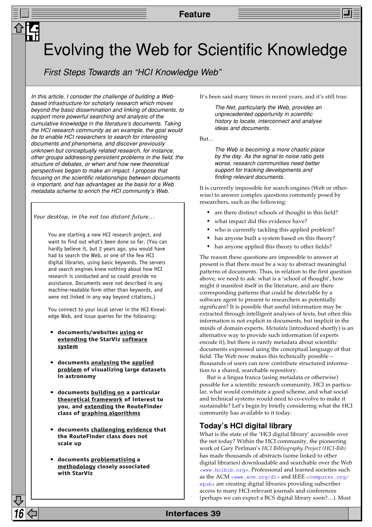## Evolving the Web for Scientific Knowledge

First Steps Towards an "HCI Knowledge Web"

In this article, I consider the challenge of building a Webbased infrastructure for scholarly research which moves beyond the basic dissemination and linking of documents, to support more powerful searching and analysis of the cumulative knowledge in the literature's documents. Taking the HCI research community as an example, the goal would be to enable HCI researchers to search for interesting documents and phenomena, and discover previously unknown but conceptually related research, for instance, other groups addressing persistent problems in the field, the structure of debates, or when and how new theoretical perspectives began to make an impact. I propose that focusing on the scientific relationships between documents is important, and has advantages as the basis for a Web metadata scheme to enrich the HCI community's Web.

*Your desktop, in the not too distant future…*

You are starting a new HCI research project, and want to find out what's been done so far. (You can hardly believe it, but 2 years ago, you would have had to search the Web, or one of the few HCI digital libraries, using basic keywords. The servers and search engines knew nothing about how HCI research is conducted and so could provide no assistance. Documents were not described in any machine-readable form other than keywords, and were not linked in any way beyond citations.)

You connect to your local server in the HCI Knowledge Web, and issue queries for the following:

- **documents/websites using or extending the StarViz software system**
- **documents analysing the applied problem of visualizing large datasets in astronomy**
- **documents building on a particular theoretical framework of interest to you, and extending the RouteFinder class of graphing algorithms**
- **documents challenging evidence that the RouteFinder class does not scale up**
- **documents problematising a methodology closely associated with StarViz**

It's been said many times in recent years, and it's still true:

The Net, particularly the Web, provides an unprecedented opportunity in scientific history to locate, interconnect and analyse ideas and documents.

But…

The Web is becoming a more chaotic place by the day. As the signal to noise ratio gets worse, research communities need better support for tracking developments and finding relevant documents.

It is currently impossible for search engines (Web or otherwise) to answer complex questions commonly posed by researchers, such as the following:

- are there distinct schools of thought in this field?
- what impact did this evidence have?
- who is currently tackling this applied problem?
- has anyone built a system based on this theory?
- has anyone applied this theory to other fields?

The reason these questions are impossible to answer at present is that there must be a way to abstract meaningful patterns of documents. Thus, in relation to the first question above, we need to ask: what is a 'school of thought', how might it manifest itself in the literature, and are there corresponding patterns that could be detectable by a software agent to present to researchers as potentially significant? It is possible that useful information may be extracted through intelligent analyses of texts, but often this information is not explicit in documents, but implicit in the minds of domain experts. *Metadata* (introduced shortly) is an alternative way to provide such information (if experts encode it), but there is rarely metadata about scientific documents expressed using the conceptual language of that field. The Web now makes this technically possible – thousands of users can now contribute structured information to a shared, searchable repository.

But is a lingua franca (using metadata or otherwise) possible for a scientific research community, HCI in particular, what would constitute a good scheme, and what social and technical systems would need to co-evolve to make it sustainable? Let's begin by briefly considering what the HCI community has available to it today.

## **Today's HCI digital library**

What is the state of the 'HCI digital library' accessible over the net today? Within the HCI community, the pioneering work of Gary Perlman's *HCI Bibliography Project (HCI-Bib)* has made thousands of abstracts (some linked to other digital libraries) downloadable and searchable over the Web [<www.hcibib.org>](http://www.hcibib.org/). Professional and learned societies such as the ACM [<www.acm.org/dl>](http://www.acm.org/dl/) and IEEE [<computer.org/](http://computer.org/epub/) [epub>](http://computer.org/epub/) are creating digital libraries providing subscriber access to many HCI-relevant journals and conferences (perhaps we can expect a BCS digital library soon?…). Most

## **16 Interfaces 39**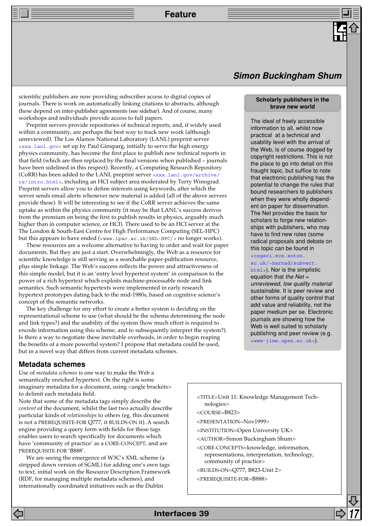scientific publishers are now providing subscriber access to digital copies of journals. There is work on automatically linking citations to abstracts, although these depend on inter-publisher agreements (see sidebar). And of course, many workshops and individuals provide access to full papers.

Preprint servers provide repositories of technical reports, and, if widely used within a community, are perhaps the best way to track new work (although unreviewed). The Los Alamos National Laboratory (LANL) preprint server [<xxx.lanl.gov>](http://xxx.lanl.gov/) set up by Paul Ginsparg, initially to serve the high energy physics community, has become the first place to publish new technical reports in that field (which are then replaced by the final versions when published – journals have been sidelined in this respect). Recently, a Computing Research Repository (CoRR) has been added to the LANL preprint server [<xxx.lanl.gov/archive/](http://xxx.lanl.gov/archive/cs/intro.html) [cs/intro.html>](http://xxx.lanl.gov/archive/cs/intro.html), including an HCI subject area moderated by Terry Winograd. Preprint servers allow you to define interests using keywords, after which the server sends email alerts whenever new material is added (all of the above servers provide these). It will be interesting to see if the CoRR server achieves the same uptake as within the physics community (it may be that LANL's success derives from the premium on being the first to publish results in physics, arguably much higher than in computer science, or HCI). There used to be an HCI server at the The London & South-East Centre for High Performance Computing (SEL-HPC) but this appears to have ended (<www.lpac.ac.uk/SEL-HPC/> no longer works).

These resources are a welcome alternative to having to order and wait for paper documents. But they are just a start. Overwhelmingly, the Web as a resource for scientific knowledge is still serving as a searchable paper-publication resource, plus simple linkage. The Web's success reflects the power and attractiveness of this simple model, but it is an 'entry level hypertext system' in comparison to the power of a rich hypertext which exploits machine-processable node and link semantics. Such semantic hypertexts were implemented in early research hypertext prototypes dating back to the mid-1980s, based on cognitive science's concept of the semantic networks.

The key challenge for any effort to create a better system is deciding on the representational scheme to use (what should be the schema determining the node and link types?) and the usability of the system (how much effort is required to encode information using this scheme, and to subsequently interpret the system?). Is there a way to negotiate these inevitable overheads, in order to begin reaping the benefits of a more powerful system? I propose that metadata could be used, but in a novel way that differs from current metadata schemes.

## **Simon Buckingham Shum**

#### **Scholarly publishers in the brave new world**

The ideal of freely accessible information to all, whilst now practical at a technical and usability level with the arrival of the Web, is of course dogged by copyright restrictions. This is not the place to go into detail on this fraught topic, but suffice to note that electronic publishing has the potential to change the rules that bound researchers to publishers when they were wholly dependent on paper for dissemination. The Net provides the basis for scholars to forge new relationships with publishers, who may have to find new roles (some radical proposals and debate on this topic can be found in

#### [<cogsci.ecs.soton.](http://cogsci.ecs.soton.ac.uk/~harnad/subvert.html) [ac.uk/~harnad/subvert.](http://cogsci.ecs.soton.ac.uk/~harnad/subvert.html)

[html>](http://cogsci.ecs.soton.ac.uk/~harnad/subvert.html)). Nor is the simplistic equation that the Net  $=$ unreviewed, low quality material sustainable. It is peer review and other forms of quality control that add value and reliability, not the paper medium per se. Electronic journals are showing how the Web is well suited to scholarly publishing and peer review (e.g. [<www-jime.open.ac.uk>](http://www-jime.open.ac.uk/)).

## **Metadata schemes**

Use of *metadata schemes* is one way to make the Web a semantically enriched hypertext. On the right is some imaginary metadata for a document, using <angle brackets> to delimit each metadata field.

Note that some of the metadata tags simply describe the *content* of the document, whilst the last two actually describe particular kinds of *relationships* to others (eg. this document is not a PREREQUISITE-FOR Q777, it BUILDS-ON it). A search engine providing a query form with fields for these tags enables users to search specifically for documents which have 'community of practice' as a CORE-CONCEPT, and are PREREQUISITE-FOR 'B888'.

We are seeing the emergence of W3C's XML scheme (a stripped down version of SGML) for adding one's own tags to text, initial work on the Resource Description Framework (RDF, for managing multiple metadata schemes), and internationally coordinated initiatives such as the Dublin

<TITLE=Unit 11: Knowledge Management Technologies>

<COURSE=B823>

<PRESENTATION=Nov1999>

- <INSTITUTION=Open University UK>
- <AUTHOR=Simon Buckingham Shum>

<CORE-CONCEPTS=knowledge, information, representations, interpretation, technology, community of practice>

<BUILDS-ON=Q777, B823-Unit 2>

<PREREQUISITE-FOR=B888>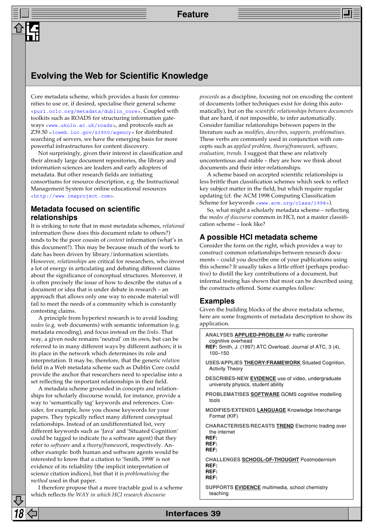## **Evolving the Web for Scientific Knowledge**

Core metadata scheme, which provides a basis for communities to use or, if desired, specialise their general scheme [<purl.oclc.org/metadata/dublin\\_core>](http://purl.oclc.org/metadata/dublin_core/). Coupled with toolkits such as ROADS for structuring information gateways [<www.ukoln.ac.uk/roads>](http://www.ukoln.ac.uk/roads/), and protocols such as Z39.50 [<lcweb.loc.gov/z3950/agency>](http://lcweb.loc.gov/z3950/agency/) for distributed searching of servers, we have the emerging basis for more powerful infrastructures for content discovery.

Not surprisingly, given their interest in classification and their already large document repositories, the library and information sciences are leaders and early adopters of metadata. But other research fields are initiating consortiums for resource description, e.g. the Instructional Management System for online educational resources [<http://www.imsproject.com>](http://www.imsproject.com/).

## **Metadata focused on scientific relationships**

It is striking to note that in most metadata schemes, *relational* information (how does this document relate to others?) tends to be the poor cousin of *content* information (what's in this document?). This may be because much of the work to date has been driven by library/information scientists. However, *relationships* are critical for researchers, who invest a lot of energy in articulating and debating different claims about the significance of conceptual structures. Moreover, it is often precisely the issue of how to describe the status of a document or idea that is under debate in research – an approach that allows only one way to encode material will fail to meet the needs of a community which is constantly contesting claims.

A principle from hypertext research is to avoid loading *nodes* (e.g. web documents) with semantic information (e.g. metadata encoding), and focus instead on the *links*. That way, a given node remains 'neutral' on its own, but can be referred to in many different ways by different authors; it is its place in the network which determines its role and interpretation. It may be, therefore, that the generic *relation* field in a Web metadata scheme such as Dublin Core could provide the anchor that researchers need to specialise into a set reflecting the important relationships in their field.

A metadata scheme grounded in concepts and relationships for scholarly discourse would, for instance, provide a way to 'semantically tag' keywords and references. Consider, for example, how you choose keywords for your papers. They typically reflect many different conceptual relationships. Instead of an undifferentiated list, very different keywords such as 'Java' and 'Situated Cognition' could be tagged to indicate (to a software agent) that they refer to *software* and a *theory/framework*, respectively. Another example: both human and software agents would be interested to know that a citation to 'Smith, 1998' is not evidence of its reliability (the implicit interpretation of science citation indices), but that it is *problematising* the *method* used in that paper.

I therefore propose that a more tractable goal is a scheme which reflects *the WAY in which HCI research discourse*

*proceeds* as a discipline, focusing not on encoding the content of documents (other techniques exist for doing this automatically), but on the *scientific relationships between documents* that are hard, if not impossible, to infer automatically. Consider familiar relationships between papers in the literature such as *modifies, describes, supports, problematises.* These verbs are commonly used in conjunction with concepts such as *applied problem, theory/framework, software, evaluation, trends.* I suggest that these are relatively uncontentious and stable – they are how we think about documents and their inter-relationships.

A scheme based on accepted scientific relationships is less brittle than classification schemes which seek to reflect key subject matter in the field, but which require regular updating (cf. the ACM 1998 Computing Classification Scheme for keywords [<www.acm.org/class/1998>](http://www.acm.org/class/1998/)).

So, what might a scholarly metadata scheme – reflecting the *modes of discourse* common in HCI, not a master classification scheme – look like?

## **A possible HCI metadata scheme**

Consider the form on the right, which provides a way to construct common relationships between research documents – could you describe one of your publications using this scheme? It usually takes a little effort (perhaps productive) to distill the key contributions of a document, but informal testing has shown that most can be described using the constructs offered. Some examples follow:

## **Examples**

Given the building blocks of the above metadata scheme, here are some fragments of metadata description to show its application.

```
ANALYSES APPLIED-PROBLEM Air traffic controller
 cognitive overhead
REF: Smith, J. (1997) ATC Overload. Journal of ATC, 3 (4),
 100–150
USES/APPLIES THEORY/FRAMEWORK Situated Cognition,
 Activity Theory
DESCRIBES-NEW EVIDENCE use of video, undergraduate
 university physics, student ability
PROBLEMATISES SOFTWARE GOMS cognitive modelling
 tools
MODIFIES/EXTENDS LANGUAGE Knowledge Interchange
 Format (KIF)
CHARACTERISES/RECASTS TREND Electronic trading over
 the internet
REF:
REF:
REF:
CHALLENGES SCHOOL-OF-THOUGHT Postmodernism
REF:
REF:
REF:
SUPPORTS EVIDENCE multimedia, school chemistry
 teaching
```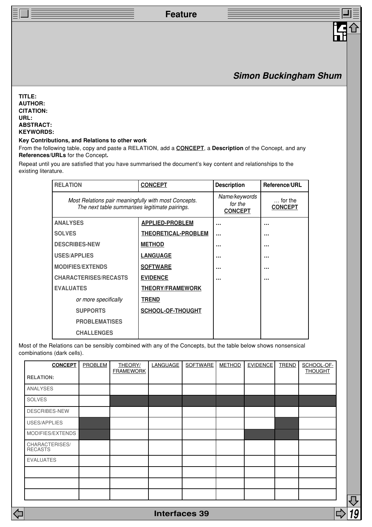## **Simon Buckingham Shum**

**TITLE: AUTHOR: CITATION: URL: ABSTRACT: KEYWORDS:**

#### **Key Contributions, and Relations to other work**

From the following table, copy and paste a **RELATION**, add a **CONCEPT**, a **Description** of the Concept, and any **References/URLs** for the Concept**.**

Repeat until you are satisfied that you have summarised the document's key content and relationships to the existing literature.

| <b>RELATION</b>                                                                                        | <b>CONCEPT</b>                             | <b>Description</b>                 | Reference/URL |  |
|--------------------------------------------------------------------------------------------------------|--------------------------------------------|------------------------------------|---------------|--|
| Most Relations pair meaningfully with most Concepts.<br>The next table summarises legitimate pairings. | Name/keywords<br>for the<br><b>CONCEPT</b> | $\ldots$ for the<br><b>CONCEPT</b> |               |  |
| <b>ANALYSES</b>                                                                                        | <b>APPLIED-PROBLEM</b>                     |                                    |               |  |
| <b>SOLVES</b>                                                                                          | <b>THEORETICAL-PROBLEM</b>                 | $\ddotsc$                          |               |  |
| <b>DESCRIBES-NEW</b>                                                                                   | <b>METHOD</b>                              |                                    | $\cdots$      |  |
| <b>USES/APPLIES</b>                                                                                    | <b>LANGUAGE</b>                            |                                    |               |  |
| <b>MODIFIES/EXTENDS</b>                                                                                | <b>SOFTWARE</b>                            |                                    |               |  |
| <b>CHARACTERISES/RECASTS</b>                                                                           | <b>EVIDENCE</b>                            |                                    |               |  |
| <b>EVALUATES</b>                                                                                       | <b>THEORY/FRAMEWORK</b>                    |                                    |               |  |
| or more specifically                                                                                   | <b>TREND</b>                               |                                    |               |  |
| <b>SUPPORTS</b>                                                                                        | SCHOOL-OF-THOUGHT                          |                                    |               |  |
| <b>PROBLEMATISES</b>                                                                                   |                                            |                                    |               |  |
| <b>CHALLENGES</b>                                                                                      |                                            |                                    |               |  |

Most of the Relations can be sensibly combined with any of the Concepts, but the table below shows nonsensical combinations (dark cells).

| <b>CONCEPT</b>                   | PROBLEM | <b>THEORY/</b><br><b>FRAMEWORK</b> | <b>LANGUAGE</b> | <b>SOFTWARE</b> | <b>METHOD</b> | <b>EVIDENCE</b> | <b>TREND</b> | SCHOOL-OF-<br><b>THOUGHT</b> |
|----------------------------------|---------|------------------------------------|-----------------|-----------------|---------------|-----------------|--------------|------------------------------|
| <b>RELATION:</b>                 |         |                                    |                 |                 |               |                 |              |                              |
| ANALYSES                         |         |                                    |                 |                 |               |                 |              |                              |
| <b>SOLVES</b>                    |         |                                    |                 |                 |               |                 |              |                              |
| DESCRIBES-NEW                    |         |                                    |                 |                 |               |                 |              |                              |
| USES/APPLIES                     |         |                                    |                 |                 |               |                 |              |                              |
| MODIFIES/EXTENDS                 |         |                                    |                 |                 |               |                 |              |                              |
| CHARACTERISES/<br><b>RECASTS</b> |         |                                    |                 |                 |               |                 |              |                              |
| <b>EVALUATES</b>                 |         |                                    |                 |                 |               |                 |              |                              |
|                                  |         |                                    |                 |                 |               |                 |              |                              |
|                                  |         |                                    |                 |                 |               |                 |              |                              |
|                                  |         |                                    |                 |                 |               |                 |              |                              |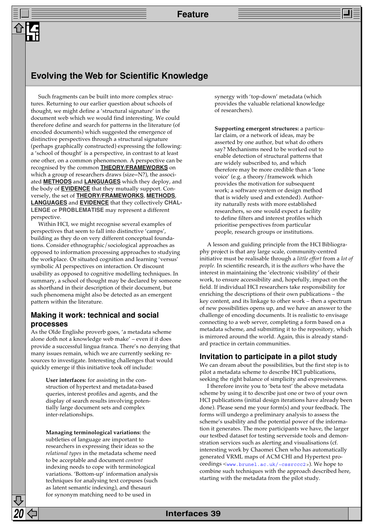## **Evolving the Web for Scientific Knowledge**

Such fragments can be built into more complex structures. Returning to our earlier question about schools of thought, we might define a 'structural signature' in the document web which we would find interesting. We could therefore define and search for patterns in the literature (of encoded documents) which suggested the emergence of distinctive perspectives through a structural signature (perhaps graphically constructed) expressing the following: a 'school of thought' is a perspective, in contrast to at least one other, on a common phenomenon. A perspective can be recognised by the common **THEORY/FRAMEWORKS** on which a group of researchers draws (size=N?), the associated **METHODS** and **LANGUAGES** which they deploy, and the body of **EVIDENCE** that they mutually support. Conversely, the set of **THEORY/FRAMEWORKS**, **METHODS**, **LANGUAGES** and **EVIDENCE** that they collectively **CHAL-LENGE** or **PROBLEMATISE** may represent a different perspective.

Within HCI, we might recognise several examples of perspectives that seem to fall into distinctive 'camps', building as they do on very different conceptual foundations. Consider ethnographic/sociological approaches as opposed to information processing approaches to studying the workplace. Or situated cognition and learning 'versus' symbolic AI perspectives on interaction. Or discount usability as opposed to cognitive modelling techniques. In summary, a school of thought may be declared by someone as shorthand in their description of their document, but such phenomena might also be detected as an emergent pattern within the literature.

## **Making it work: technical and social processes**

As the Olde Englishe proverb goes, 'a metadata scheme alone doth not a knowledge web make' – even if it does provide a successful lingua franca. There's no denying that many issues remain, which we are currently seeking resources to investigate. Interesting challenges that would quickly emerge if this initiative took off include:

> **User interfaces:** for assisting in the construction of hypertext and metadata-based queries, interest profiles and agents, and the display of search results involving potentially large document sets and complex inter-relationships.

> **Managing terminological variations:** the subtleties of language are important to researchers in expressing their ideas so the *relational types* in the metadata scheme need to be acceptable and document *content* indexing needs to cope with terminological variations. 'Bottom-up' information analysis techniques for analysing text corpuses (such as latent semantic indexing), and thesauri for synonym matching need to be used in

synergy with 'top-down' metadata (which provides the valuable relational knowledge of researchers).

**Supporting emergent structures:** a particular claim, or a network of ideas, may be asserted by one author, but what do others say? Mechanisms need to be worked out to enable detection of structural patterns that are widely subscribed to, and which therefore may be more credible than a 'lone voice' (e.g. a theory/framework which provides the motivation for subsequent work; a software system or design method that is widely used and extended). Authority naturally rests with more established researchers, so one would expect a facility to define filters and interest profiles which prioritise perspectives from particular people, research groups or institutions.

A lesson and guiding principle from the HCI Bibliography project is that any large scale, community-centred initiative must be realisable through a *little effort* from a *lot of people.* In scientific research, it is the *authors* who have the interest in maintaining the 'electronic visibility' of their work, to ensure accessibility and, hopefully, impact on the field. If individual HCI researchers take responsibility for enriching the descriptions of their own publications – the key content, and its linkage to other work – then a spectrum of new possibilities opens up, and we have an answer to the challenge of encoding documents. It is realistic to envisage connecting to a web server, completing a form based on a metadata scheme, and submitting it to the repository, which is mirrored around the world. Again, this is already standard practice in certain communities.

#### **Invitation to participate in a pilot study**

We can dream about the possibilities, but the first step is to pilot a metadata scheme to describe HCI publications, seeking the right balance of simplicity and expressiveness.

I therefore invite you to 'beta test' the above metadata scheme by using it to describe just one or two of your own HCI publications (initial design iterations have already been done). Please send me your form(s) and your feedback. The forms will undergo a preliminary analysis to assess the scheme's usability and the potential power of the information it generates. The more participants we have, the larger our testbed dataset for testing serverside tools and demonstration services such as alerting and visualisations (cf. interesting work by Chaomei Chen who has automatically generated VRML maps of ACM CHI and Hypertext proceedings <[www.brunel.ac.uk/~cssrccc2>](http://www.brunel.ac.uk/~cssrccc2/)). We hope to combine such techniques with the approach described here, starting with the metadata from the pilot study.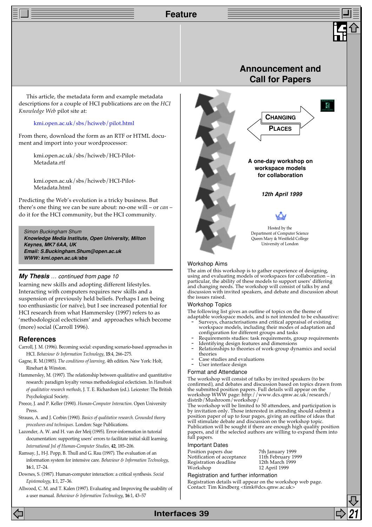This article, the metadata form and example metadata descriptions for a couple of HCI publications are on the *HCI Knowledge Web* pilot site at:

#### [kmi.open.ac.uk/sbs/hciweb/pilot.html](http://kmi.open.ac.uk/sbs/hciweb/pilot.html)

From there, download the form as an RTF or HTML document and import into your wordprocessor:

> kmi.open.ac.uk/sbs/hciweb/HCI-Pilot-Metadata.rtf

> kmi.open.ac.uk/sbs/hciweb/HCI-Pilot-Metadata.html

Predicting the Web's evolution is a tricky business. But there's one thing we can be sure about: no-one will – or *can* – do it for the HCI community, but the HCI community.

#### Simon Buckingham Shum **Knowledge Media Institute, Open University, Milton Keynes, MK7 6AA, UK Email: S.Buckingham.Shum@open.ac.uk WWW: kmi.open.ac.uk/sbs**

#### **My Thesis** … continued from page 10

learning new skills and adopting different lifestyles. Interacting with computers requires new skills and a suspension of previously held beliefs. Perhaps I am being too enthusiastic (or naïve), but I see increased potential for HCI research from what Hammersley (1997) refers to as 'methodological eclecticism' and approaches which become (more) social (Carroll 1996).

#### **References**

- Carroll, J. M. (1996). Becoming social: expanding scenario-based approaches in HCI. *Behaviour & Information Technology*, **15**:4, 266–275.
- Gagne, R. M.(1985). *The conditions of learning*, 4th edition. New York: Holt, Rinehart & Winston.
- Hammersley, M. (1997). The relationship between qualitative and quantitative research: paradigm loyalty versus methodological eclecticism. In *Handbook of qualitative research methods*, J. T. E. Richardson (ed.). Leicester: The British Psychological Society.
- Preece, J. and P. Keller (1990). *Human-Computer Interaction*. Open University Press.
- Strauss, A. and J. Corbin (1990). *Basics of qualitative research. Grounded theory procedures and techniques*. London: Sage Publications.
- Lazonder, A. W. and H. van der Meij (1995). Error-information in tutorial documentation: supporting users' errors to facilitate initial skill learning. *International Jnl of Human-Computer Studies*, **42**, 185–206.
- Ramsay, J., H-J. Popp, B. Thull and G. Rau (1997). The evaluation of an information system for intensive care. *Behaviour & Information Technology*, **16**:1, 17–24.
- Downes, S. (1987). Human-computer interaction: a critical synthesis. *Social Epistemology*, **1**:1, 27–36.
- Allwood, C. M. and T. Kalen (1997). Evaluating and Improving the usability of a user manual. *Behaviour & Information Technology*, **16**:1, 43–57



#### Workshop Aims

The aim of this workshop is to gather experience of designing, using and evaluating models of workspaces for collaboration – in particular, the ability of these models to support users' differing and changing needs. The workshop will consist of talks by and discussion with invited speakers, and debate and discussion about the issues raised.

#### Workshop Topics

The following list gives an outline of topics on the theme of

- adaptable workspace models, and is not intended to be exhaustive: - Surveys, characterisations and critical appraisal of existing workspace models, including their modes of adaptation and
- configuration for different groups and tasks Requirements studies: task requirements, group requirements
- Identifying design features and dimensions
- Relationships to theories of work-group dynamics and social
- theories Case studies and evaluations
- User interface design
- Format and Attendance

The workshop will consist of talks by invited speakers (to be confirmed), and debates and discussion based on topics drawn from the submitted position papers. Full details will appear on the workshop WWW page: http://www.dcs.qmw.ac.uk/research/ distrib/Mushroom/workshop/

The workshop will be limited to 50 attendees, and participation is by invitation only. Those interested in attending should submit a position paper of up to four pages, giving an outline of ideas that will stimulate debate and discussion on the workshop topic. Publication will be sought if there are enough high quality position papers, and if the selected authors are willing to expand them into full papers.

#### Important Dates

Position papers due 7th January 1999<br>Notification of acceptance 11th February 1999 Notification of acceptance 11th February 19<br>Registration deadline 12th March 1999 Registration deadline<br>Workshop

12 April 1999

#### Registration and further information

Registration details will appear on the workshop web page. Contact: Tim Kindberg <timk@dcs.qmw.ac.uk>

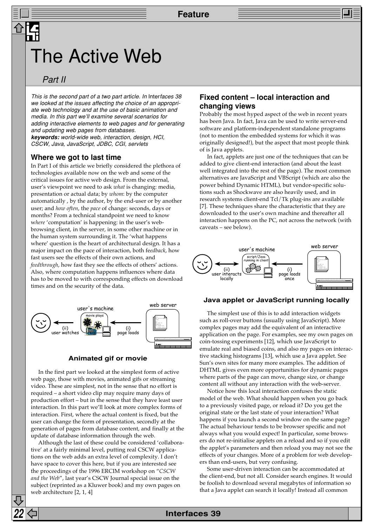## The Active Web

## Part II

This is the second part of a two part article. In Interfaces 38 we looked at the issues affecting the choice of an appropriate web technology and at the use of basic animation and media. In this part we'll examine several scenarios for adding interactive elements to web pages and for generating and updating web pages from databases.

**keywords:** world-wide web, interaction, design, HCI, CSCW, Java, JavaScript, JDBC, CGI, servlets

#### **Where we got to last time**

In Part I of this article we briefly considered the plethora of technologies available now on the web and some of the critical issues for active web design. From the external, user's viewpoint we need to ask *what* is changing: media, presentation or actual data; by *whom*: by the computer automatically , by the author, by the end-user or by another user; and *how often*, the *pace* of change: seconds, days or months? From a technical standpoint we need to know w*here* 'computation' is happening: in the user's webbrowsing client, in the server, in some other machine or in the human system surrounding it. The 'what happens where' question is the heart of architectural design. It has a major impact on the pace of interaction, both fe*edback*, how fast users see the effects of their own actions, and *feedthrough*, how fast they see the effects of others' actions. Also, where computation happens influences where data has to be moved to with corresponding effects on download times and on the security of the data.



#### **Animated gif or movie**

In the first part we looked at the simplest form of active web page, those with movies, animated gifs or streaming video. These are simplest, not in the sense that no effort is required – a short video clip may require many days of production effort – but in the sense that they have least user interaction. In this part we'll look at more complex forms of interaction. First, where the actual content is fixed, but the user can change the form of presentation, secondly at the generation of pages from database content, and finally at the update of database information through the web.

Although the last of these could be considered 'collaborative' at a fairly minimal level, putting real CSCW applications on the web adds an extra level of complexity. I don't have space to cover this here, but if you are interested see the proceedings of the 1996 ERCIM workshop on "*CSCW and the Web*", last year's CSCW Journal special issue on the subject (reprinted as a Kluwer book) and my own pages on web architecture [2, 1, 4]

#### **Fixed content – local interaction and changing views**

Probably the most hyped aspect of the web in recent years has been Java. In fact, Java can be used to write server-end software and platform-independent standalone programs (not to mention the embedded systems for which it was originally designed!), but the aspect that most people think of is Java applets.

In fact, applets are just one of the techniques that can be added to give client-end interaction (and about the least well integrated into the rest of the page). The most common alternatives are JavaScript and VBScript (which are also the power behind Dynamic HTML), but vendor-specific solutions such as Shockwave are also heavily used, and in research systems client-end Tcl/Tk plug-ins are available [7]. These techniques share the characteristic that they are downloaded to the user's own machine and thereafter all interaction happens on the PC, not across the network (with caveats – see below).



#### **Java applet or JavaScript running locally**

The simplest use of this is to add interaction widgets such as roll-over buttons (usually using JavaScript). More complex pages may add the equivalent of an interactive application on the page. For examples, see my own pages on coin-tossing experiments [12], which use JavaScript to emulate real and biased coins, and also my pages on interactive stacking histograms [13], which use a Java applet. See Sun's own sites for many more examples. The addition of DHTML gives even more opportunities for dynamic pages where parts of the page can move, change size, or change content all without any interaction with the web-server.

Notice how this local interaction confuses the static model of the web. What should happen when you go back to a previously visited page, or reload it? Do you get the original state or the last state of your interaction? What happens if you launch a second window on the same page? The actual behaviour tends to be browser specific and not always what you would expect! In particular, some browsers do not re-initialise applets on a reload and so if you edit the applet's parameters and then reload you may not see the effects of your changes. More of a problem for web developers than end-users, but very confusing.

Some user-driven interaction can be accommodated at the client-end, but not all. Consider search engines. It would be foolish to download several megabytes of information so that a Java applet can search it locally! Instead all common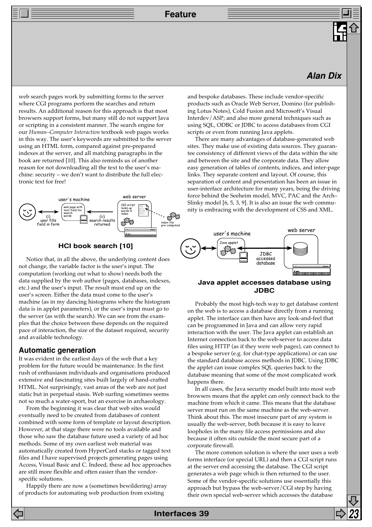## **Alan Dix**

web search pages work by submitting forms to the server where CGI programs perform the searches and return results. An additional reason for this approach is that most browsers support forms, but many still do not support Java or scripting in a consistent manner. The search engine for our *Human–Computer Interaction* textbook web pages works in this way. The user's keywords are submitted to the server using an HTML form, compared against pre-prepared indexes at the server, and all matching paragraphs in the book are returned [10]. This also reminds us of another reason for not downloading all the text to the user's machine: security – we don't want to distribute the full electronic text for free!



#### **HCI book search [10]**

Notice that, in all the above, the underlying content does not change, the variable factor is the user's input. The computation (working out what to show) needs both the data supplied by the web author (pages, databases, indexes, etc.) and the user's input. The result must end up on the user's screen. Either the data must come to the user's machine (as in my dancing histograms where the histogram data is in applet parameters), or the user's input must go to the server (as with the search). We can see from the examples that the choice between these depends on the required pace of interaction, the size of the dataset required, security and available technology.

#### **Automatic generation**

It was evident in the earliest days of the web that a key problem for the future would be maintenance. In the first rush of enthusiasm individuals and organisations produced extensive and fascinating sites built largely of hand-crafted HTML. Not surprisingly, vast areas of the web are not just static but in perpetual stasis. Web surfing sometimes seems not so much a water-sport, but an exercise in archaeology.

From the beginning it was clear that web sites would eventually need to be created from databases of content combined with some form of template or layout description. However, at that stage there were no tools available and those who saw the database future used a variety of ad hoc methods. Some of my own earliest web material was automatically created from HyperCard stacks or tagged text files and I have supervised projects generating pages using Access, Visual Basic and C. Indeed, these ad hoc approaches are still more flexible and often easier than the vendorspecific solutions.

Happily there are now a (sometimes bewildering) array of products for automating web production from existing

and bespoke databases. These include vendor-specific products such as Oracle Web Server, Domino (for publishing Lotus Notes), Cold Fusion and Microsoft's Visual Interdev/ASP; and also more general techniques such as using SQL, ODBC or JDBC to access databases from CGI scripts or even from running Java applets.

There are many advantages of database-generated web sites. They make use of existing data sources. They guarantee consistency of different views of the data within the site and between the site and the corporate data. They allow easy generation of tables of contents, indices, and inter-page links. They separate content and layout. Of course, this separation of content and presentation has been an issue in user-interface architecture for many years, being the driving force behind the Seeheim model, MVC, PAC and the Arch– Slinky model [6, 5, 3, 9]. It is also an issue the web community is embracing with the development of CSS and XML.



#### **Java applet accesses database using JDBC**

Probably the most high-tech way to get database content on the web is to access a database directly from a running applet. The interface can then have any look-and-feel that can be programmed in Java and can allow very rapid interaction with the user. The Java applet can establish an Internet connection back to the web-server to access data files using HTTP (as if they were web pages), can connect to a bespoke server (e.g. for chat-type applications) or can use the standard database access methods in JDBC. Using JDBC the applet can issue complex SQL queries back to the database meaning that some of the most complicated work happens there.

In all cases, the Java security model built into most web browsers means that the applet can only connect back to the machine from which it came. This means that the database server must run on the same machine as the web-server. Think about this. The most insecure part of any system is usually the web-server, both because it is easy to leave loopholes in the many file access permissions and also because it often sits outside the most secure part of a corporate firewall.

The more common solution is where the user uses a web forms interface (or special URL) and then a CGI script runs at the server end accessing the database. The CGI script generates a web page which is then returned to the user. Some of the vendor-specific solutions use essentially this approach but bypass the web-server/CGI step by having their own special web-server which accesses the database

**Interfaces 39 23**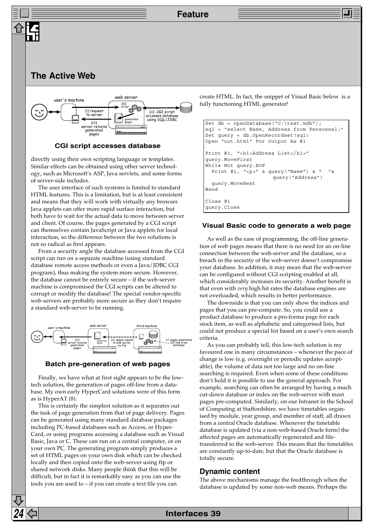

#### **CGI script accesses database**

directly using their own scripting language or templates. Similar effects can be obtained using other server technology, such as Microsoft's ASP, Java servlets, and some forms of server-side includes.

The user interface of such systems is limited to standard HTML features. This is a limitation, but is at least consistent and means that they will work with virtually any browser. Java applets can offer more rapid surface interaction, but both have to wait for the actual data to move between server and client. Of course, the pages generated by a CGI script can themselves contain JavaScript or Java applets for local interaction, so the difference between the two solutions is not so radical as first appears.

From a security angle the database accessed from the CGI script can run on a separate machine (using standard database remote access methods or even a Java/JDBC CGI program), thus making the system more secure. However, the database cannot be entirely secure – if the web-server machine is compromised the CGI scripts can be altered to corrupt or modify the database! The special vendor-specific web-servers are probably more secure as they don't require a standard web-server to be running.



#### **Batch pre-generation of web pages**

Finally, we have what at first sight appears to be the lowtech solution, the generation of pages off-line from a database. My own early HyperCard solutions were of this form as is HyperAT (8).

This is certainly the simplest solution as it separates out the task of page generation from that of page delivery. Pages can be generated using many standard database packages including PC-based databases such as Access, or Hyper-Card, or using programs accessing a database such as Visual Basic, Java or C. These can run on a central computer, or on your own PC. The generating program simply produces a set of HTML pages on your own disk which can be checked locally and then copied onto the web-server using ftp or shared network disks. Many people think that this will be difficult, but in fact it is remarkably easy as you can use the tools you are used to – if you can create a text file you can

create HTML. In fact, the snippet of Visual Basic below is a fully functioning HTML generator!

```
Set db = openDatabase("C:\test.mdb");
sql = "select Name, Address from Personnel;"
Set query = db.OpenRecordset(sql)
Open "out.html" For Output As #1
Print #1, "<h1>Address List</h1>"
query.MoveFirst
While Not query.EOF
 Print #1, "<p>" & query("Name") & " "&
                     query("Address")
  query.MoveNext
Wend
Close #1
query.Close
```
#### **Visual Basic code to generate a web page**

As well as the ease of programming, the off-line generation of web pages means that there is no need for an on-line connection between the web-server and the database, so a breach in the security of the web-server doesn't compromise your database. In addition, it may mean that the web-server can be configured without CGI scripting enabled at all, which considerably increases its security. Another benefit is that even with *very* high hit rates the database engines are not overloaded, which results in better performance.

The downside is that you can only show the indices and pages that you can pre-compute. So, you could use a product database to produce a pro-forma page for each stock item, as well as alphabetic and categorised lists, but could not produce a special list based on a user's own search criteria.

As you can probably tell, this low-tech solution is my favoured one in many circumstances – whenever the pace of change is low (e.g. overnight or periodic updates acceptable), the volume of data not too large and no on-line searching is required. Even when some of these conditions don't hold it is possible to use the general approach. For example, searching can often be arranged by having a much cut-down database or index on the web-server with most pages pre-computed. Similarly, on our Intranet in the School of Computing at Staffordshire, we have timetables organised by module, year group, and member of staff, all drawn from a central Oracle database. Whenever the timetable database is updated (via a non-web-based Oracle form) the affected pages are automatically regenerated and filetransferred to the web-server. This means that the timetables are constantly up-to-date, but that the Oracle database is totally secure.

#### **Dynamic content**

The above mechanisms manage the feedthrough when the database is updated by some non-web means. Perhaps the

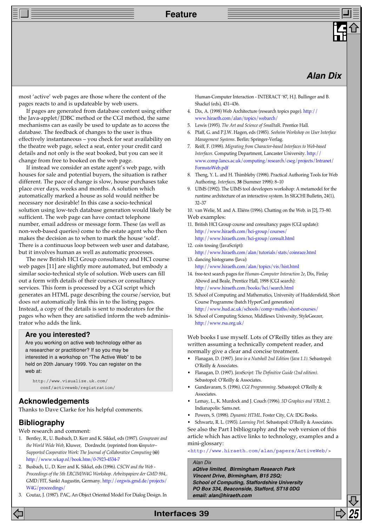## **Alan Dix**

most 'active' web pages are those where the content of the pages reacts to and is updateable by web users.

If pages are generated from database content using either the Java-applet/JDBC method or the CGI method, the same mechanisms can as easily be used to update as to access the database. The feedback of changes to the user is thus effectively instantaneous – you check for seat availability on the theatre web page, select a seat, enter your credit card details and not only is the seat booked, but you can see it change from free to booked on the web page.

If instead we consider an estate agent's web page, with houses for sale and potential buyers, the situation is rather different. The pace of change is slow, house purchases take place over days, weeks and months. A solution which automatically marked a house as sold would neither be necessary nor desirable! In this case a socio-technical solution using low-tech database generation would likely be sufficient. The web page can have contact telephone number, email address or message form. These (as well as non-web-based queries) come to the estate agent who then makes the decision as to when to mark the house 'sold'. There is a continuous loop between web user and database, but it involves human as well as automatic processes.

The new British HCI Group consultancy and HCI course web pages [11] are slightly more automated, but embody a similar socio-technical style of solution. Web users can fill out a form with details of their courses or consultancy services. This form is processed by a CGI script which generates an HTML page describing the course/service, but does *not* automatically link this in to the listing pages. Instead, a copy of the details is sent to moderators for the pages who when they are satisfied inform the web administrator who adds the link.

#### **Are you interested?**

Are you working on active web technology either as a researcher or practitioner? If so you may be interested in a workshop on "The Active Web" to be held on 20th January 1999. You can register on the web at:

```
http://www.visualize.uk.com/
  conf/activeweb/registration/
```
#### **Acknowledgements**

Thanks to Dave Clarke for his helpful comments.

## **Bibliography**

Web research and comment:

- 1. Bentley, R., U. Busbach, D. Kerr and K. Sikkel, eds (1997). *Groupware and the World Wide Web*, Kluwer, Dordrecht. (reprinted from C*omputer– Supported Cooperative Work: The Journal of Collaborative Computing* (**6)**) [http://www.wkap.nl/book.htm/0-7923-4534-7](http://www.wkap.nl/book.htm/0-7923-4534-7/)
- 2. Busbach, U., D. Kerr and K. Sikkel, eds (1996). *CSCW and the Web - Proceedings of the 5th ERCIM/W4G Workshop. Arbeitspapiere der GMD 984,*. GMD/FIT, Sankt Augustin, Germany. [http://orgwis.gmd.de/projects/](http://orgwis.gmd.de/projects/W4G/) W4G/proceedings/
- 3. Coutaz, J. (1987). PAC, An Object Oriented Model For Dialog Design. In

Human-Computer Interaction - INTERACT '87, H.J. Bullinger and B. Shackel (eds), 431–436.

- 4. Dix, A. (1998) Web Architecture (research topics page). http:// [www.hiraeth.com/alan/topics/webarch/](http://www.hcibook.com/alan/topics/webarch/)
- 5. Lewis (1995). *The Art and Science of Smalltalk*. Prentice Hall.
- 6. Pfaff, G. and P.J.W. Hagen, eds (1985). *Seeheim Workshop on User Interface Management Systems*. Berlin: Springer-Verlag.
- 7. Reiff, F. (1998). *Migrating from Character-based Interfaces to Web-based Interfaces*. Computing Department, Lancaster University. http:// [www.comp.lancs.ac.uk/computing/research/cseg/projects/Intranet/](http://www.comp.lancs.ac.uk/computing/research/cseg/projects/Intranet/FormstoWeb.pdf) FormstoWeb.pdf
- 8. Theng, Y. L. and H. Thimbleby (1998). Practical Authoring Tools for Web Authoring. *Interfaces,* **38** (Summer 1998): 8–10
- 9. UIMS (1992). The UIMS tool developers workshop: A metamodel for the runtime architecture of an interactive system. In SIGCHI Bulletin, 24(1), 32–37

10. van Welie, M. and A. Eliëns (1996). Chatting on the Web. in [2], 73–80. Web examples:

- 11. British HCI Group course and consultancy pages (CGI update): <http://www.hiraeth.com/hci-group/courses/> [http://www.hiraeth.com/hci-group/consult.html](http://www.visualize.uk.com/bcshci/conslist/)
- 12. coin tossing (JavaScript): <http://www.hiraeth.com/alan/tutorials/stats/coinrace.html>
- 13. dancing histograms (Java): <http://www.hiraeth.com/alan/topics/vis/hist.html>
- 14. free-text search pages for *Human–Computer Interaction 2e*, Dix, Finlay Abowd and Beale, Prentice Hall, 1998 (CGI search): <http://www.hiraeth.com/books/hci/search.html>
- 15. School of Computing and Mathematics, University of Huddersfield, Short Course Programme (batch HyperCard generation) <http://www.hud.ac.uk/schools/comp+maths/short-courses/>
- 16. School of Computing Science, Middlesex University, StyleGeezer, <http://www.rsa.org.uk/>

Web books I use myself. Lots of O'Reilly titles as they are written assuming a technically competent reader, and normally give a clear and concise treatment.

- Flanagan, D. (1997). *Java in a Nutshell 2nd Edition (Java 1.1)*. Sebastopol: O'Reilly & Associates.
- Flanagan, D. (1997). *Java*S*cript: The Definitive Guide (2nd edition)*. Sebastopol: O'Reilly & Associates.
- Gundavaram, S. (1996). *CGI Programming*. Sebastopol: O'Reilly & Associates.
- Lemay, L., K. Murdock and J. Couch (1996). *3D Graphics and VRML 2*. Indianapolis: Sams.net.
- Powers, S. (1998). *Dynamic HTML*. Foster City, CA: IDG Books.
- Schwartz, R. L. (1993). *Learning Perl*. Sebastopol: O'Reilly & Associates. See also the Part I bibliography and the web version of this article which has active links to technology, examples and a mini-glossary:

[<http://www.hiraeth.com/alan/papers/ActiveWeb/>](http://www.hiraeth.com/alan/papers/ActiveWeb/)

#### Alan Dix

**aQtive limited, Birmingham Research Park Vincent Drive, Birmingham, B15 2SQ; School of Computing, Staffordshire University PO Box 334, Beaconside, Stafford, ST18 0DG email: alan@hiraeth.com**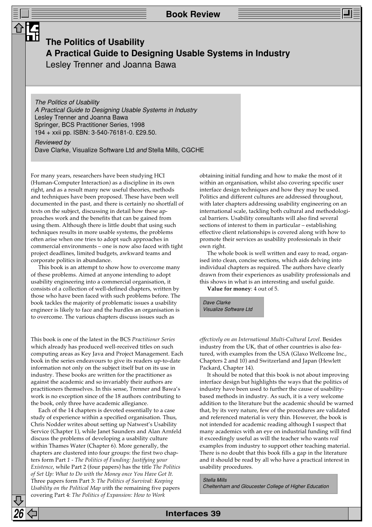## **The Politics of Usability A Practical Guide to Designing Usable Systems in Industry** Lesley Trenner and Joanna Bawa

The Politics of Usability A Practical Guide to Designing Usable Systems in Industry Lesley Trenner and Joanna Bawa Springer, BCS Practitioner Series, 1998 194 + xxii pp. ISBN: 3-540-76181-0. £29.50.

Reviewed by Dave Clarke, Visualize Software Ltd and Stella Mills, CGCHE

For many years, researchers have been studying HCI (Human-Computer Interaction) as a discipline in its own right, and as a result many new useful theories, methods and techniques have been proposed. These have been well documented in the past, and there is certainly no shortfall of texts on the subject, discussing in detail how these approaches work and the benefits that can be gained from using them. Although there is little doubt that using such techniques results in more usable systems, the problems often arise when one tries to adopt such approaches in commercial environments – one is now also faced with tight project deadlines, limited budgets, awkward teams and corporate politics in abundance.

This book is an attempt to show how to overcome many of these problems. Aimed at anyone intending to adopt usability engineering into a commercial organisation, it consists of a collection of well-defined chapters, written by those who have been faced with such problems before. The book tackles the majority of problematic issues a usability engineer is likely to face and the hurdles an organisation is to overcome. The various chapters discuss issues such as

This book is one of the latest in the BCS *Practitioner Series* which already has produced well-received titles on such computing areas as Key Java and Project Management. Each book in the series endeavours to give its readers up-to-date information not only on the subject itself but on its use in industry. These books are written for the practitioner as against the academic and so invariably their authors are practitioners themselves. In this sense, Trenner and Bawa's work is no exception since of the 18 authors contributing to the book, only three have academic allegiance.

Each of the 14 chapters is devoted essentially to a case study of experience within a specified organisation. Thus, Chris Nodder writes about setting up Natwest's Usability Service (Chapter 1), while Janet Saunders and Alan Arnfeld discuss the problems of developing a usability culture within Thames Water (Chapter 6). More generally, the chapters are clustered into four groups: the first two chapters form Part *1 - The Politics of Funding: Justifying your Existence*, while Part 2 (four papers) has the title *The Politics of Set Up: What to Do with the Money once You Have Got It.* Three papers form Part 3: *The Politics of Survival: Keeping Usability on the Political Map w*ith the remaining five papers covering Part 4: *The Politics of Expansion: How to Work*

obtaining initial funding and how to make the most of it within an organisation, whilst also covering specific user interface design techniques and how they may be used. Politics and different cultures are addressed throughout, with later chapters addressing usability engineering on an international scale, tackling both cultural and methodological barriers. Usability consultants will also find several sections of interest to them in particular – establishing effective client relationships is covered along with how to promote their services as usability professionals in their own right.

The whole book is well written and easy to read, organised into clean, concise sections, which aids delving into individual chapters as required. The authors have clearly drawn from their experiences as usability professionals and this shows in what is an interesting and useful guide.

**Value for money**: 4 out of 5.

Dave Clarke Visualize Software Ltd

*effectively on an International Multi-Cultural Level.* Besides industry from the UK, that of other countries is also featured, with examples from the USA (Glaxo Wellcome Inc., Chapters 2 and 10) and Switzerland and Japan (Hewlett Packard, Chapter 14).

It should be noted that this book is not about improving interface design but highlights the ways that the politics of industry have been used to further the cause of usabilitybased methods in industry. As such, it is a very welcome addition to the literature but the academic should be warned that, by its very nature, few of the procedures are validated and referenced material is very thin. However, the book is not intended for academic reading although I suspect that many academics with an eye on industrial funding will find it exceedingly useful as will the teacher who wants *real* examples from industry to support other teaching material. There is no doubt that this book fills a gap in the literature and it should be read by all who have a practical interest in usability procedures.

Stella Mills Cheltenham and Gloucester College of Higher Education

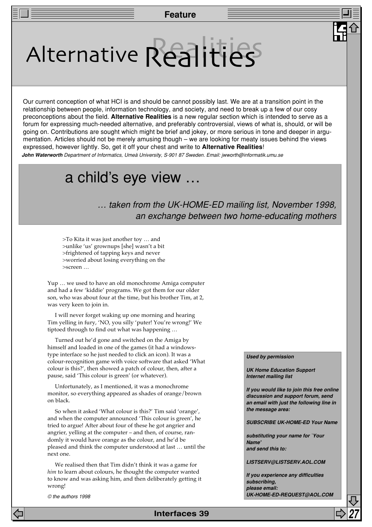# Alternative Realities

Our current conception of what HCI is and should be cannot possibly last. We are at a transition point in the relationship between people, information technology, and society, and need to break up a few of our cosy preconceptions about the field. **Alternative Realities** is a new regular section which is intended to serve as a forum for expressing much-needed alternative, and preferably controversial, views of what is, should, or will be going on. Contributions are sought which might be brief and jokey, or more serious in tone and deeper in argumentation. Articles should not be merely amusing though – we are looking for meaty issues behind the views expressed, however lightly. So, get it off your chest and write to **Alternative Realities**!

**John Waterworth** Department of Informatics, Umeå University, S-901 87 Sweden. Email: jwworth@informatik.umu.se

## a child's eye view …

… taken from the UK-HOME-ED mailing list, November 1998, an exchange between two home-educating mothers

>To Kita it was just another toy … and >unlike 'us' grownups [she] wasn't a bit >frightened of tapping keys and never >worried about losing everything on the >screen …

Yup … we used to have an old monochrome Amiga computer and had a few 'kiddie' programs. We got them for our older son, who was about four at the time, but his brother Tim, at 2, was very keen to join in.

I will never forget waking up one morning and hearing Tim yelling in fury, 'NO, you silly 'puter! You're wrong!' We tiptoed through to find out what was happening …

Turned out he'd gone and switched on the Amiga by himself and loaded in one of the games (it had a windowstype interface so he just needed to click an icon). It was a colour-recognition game with voice software that asked 'What colour is this?', then showed a patch of colour, then, after a pause, said 'This colour is green' (or whatever).

Unfortunately, as I mentioned, it was a monochrome monitor, so everything appeared as shades of orange/brown on black.

So when it asked 'What colour is this?' Tim said 'orange', and when the computer announced 'This colour is green', he tried to argue! After about four of these he got angrier and angrier, yelling at the computer – and then, of course, randomly it would have orange as the colour, and he'd be pleased and think the computer understood at last … until the next one.

We realised then that Tim didn't think it was a game for *him* to learn about colours, he thought the computer wanted to know and was asking him, and then deliberately getting it wrong!

© the authors 1998

#### **Used by permission**

**UK Home Education Support Internet mailing list**

**If you would like to join this free online discussion and support forum, send an email with just the following line in the message area:**

**SUBSCRIBE UK-HOME-ED Your Name**

**substituting your name for `Your Name' and send this to:**

**LISTSERV@LISTSERV.AOL.COM**

**If you experience any difficulties subscribing, please email: UK-HOME-ED-REQUEST@AOL.COM**